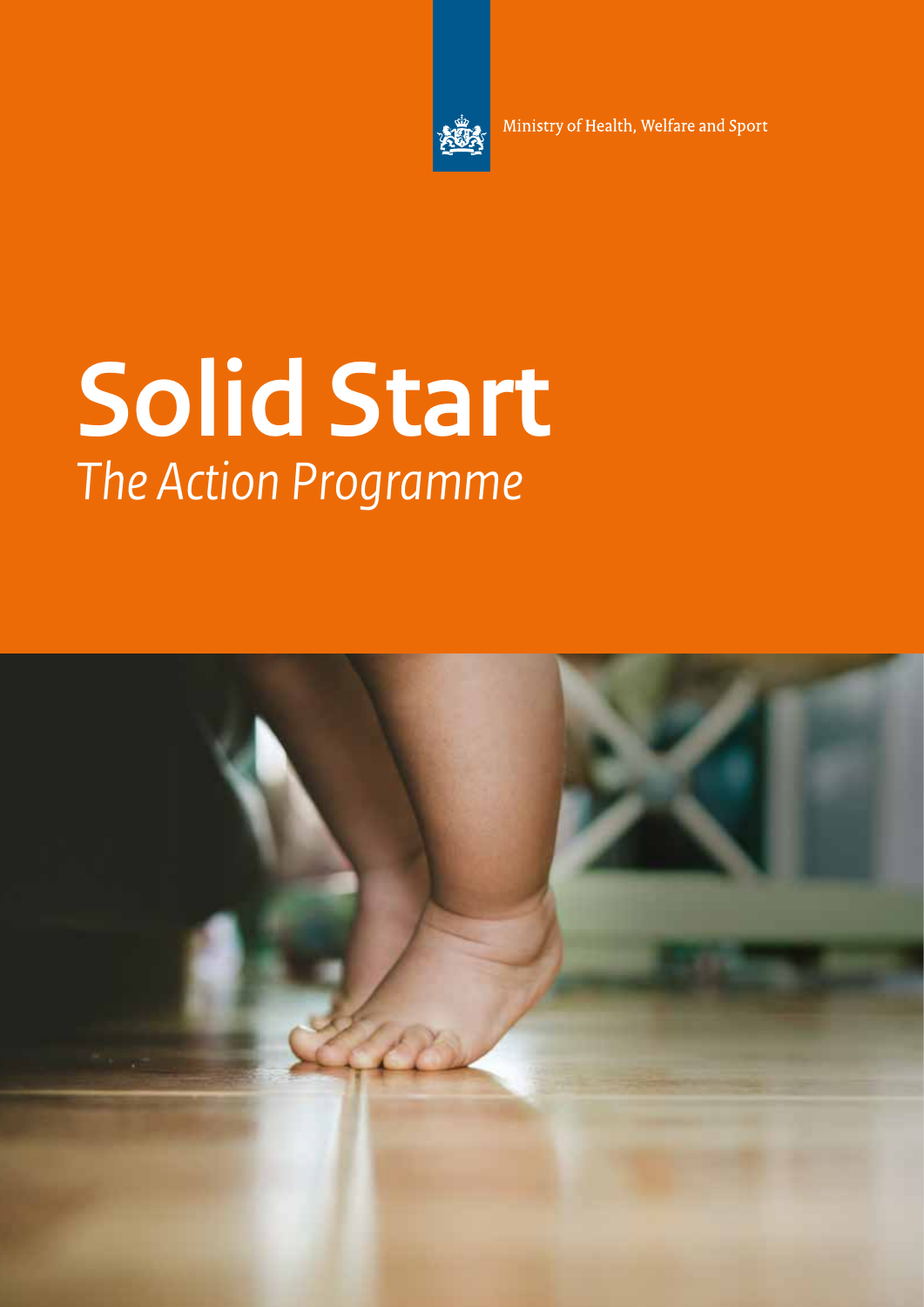Ministry of Health, Welfare and Sport



### *Actieprogramma*  **Solid Start**<br>The Action Programme *The Action Programme*

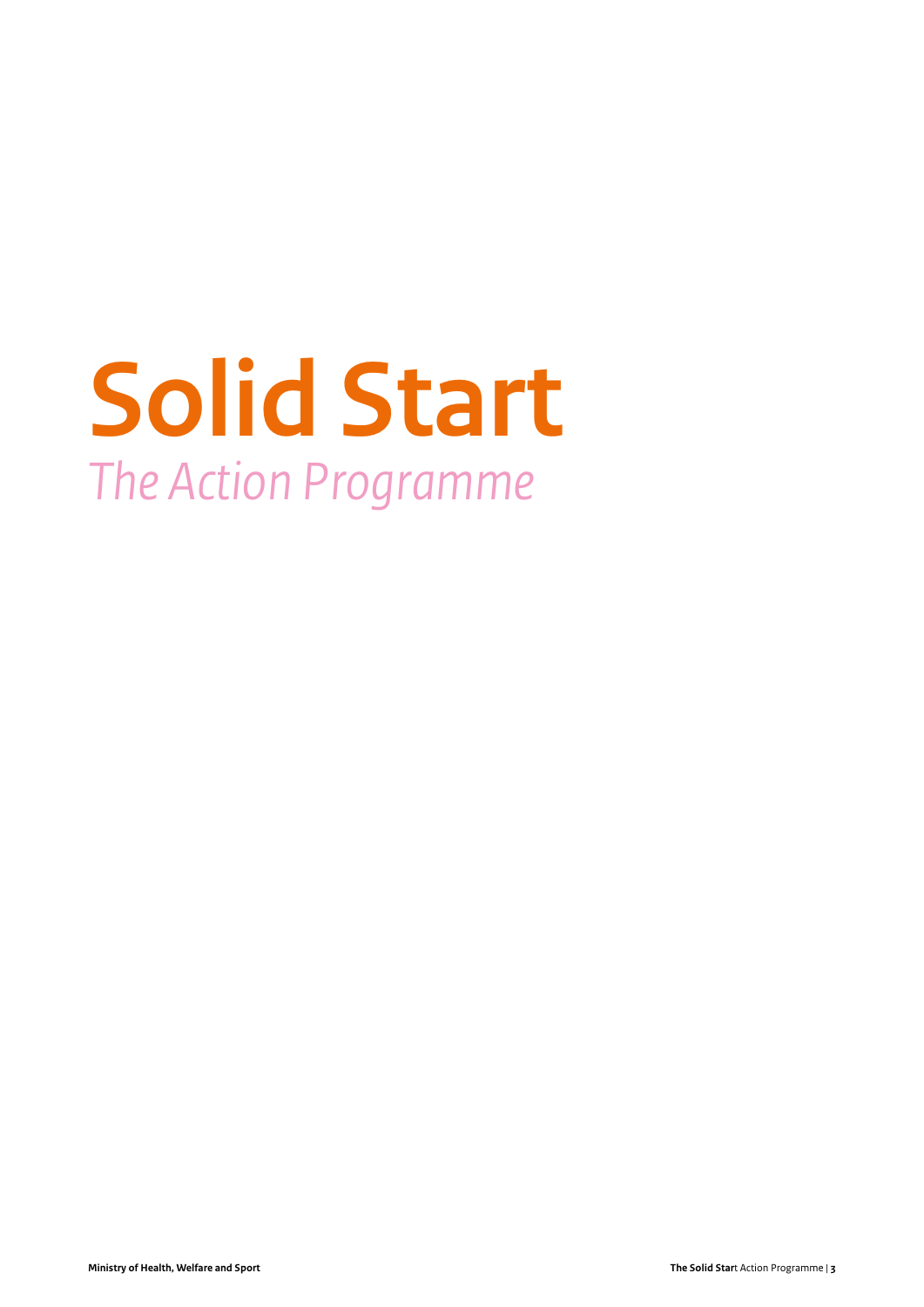## **Solid Start** *The Action Programme*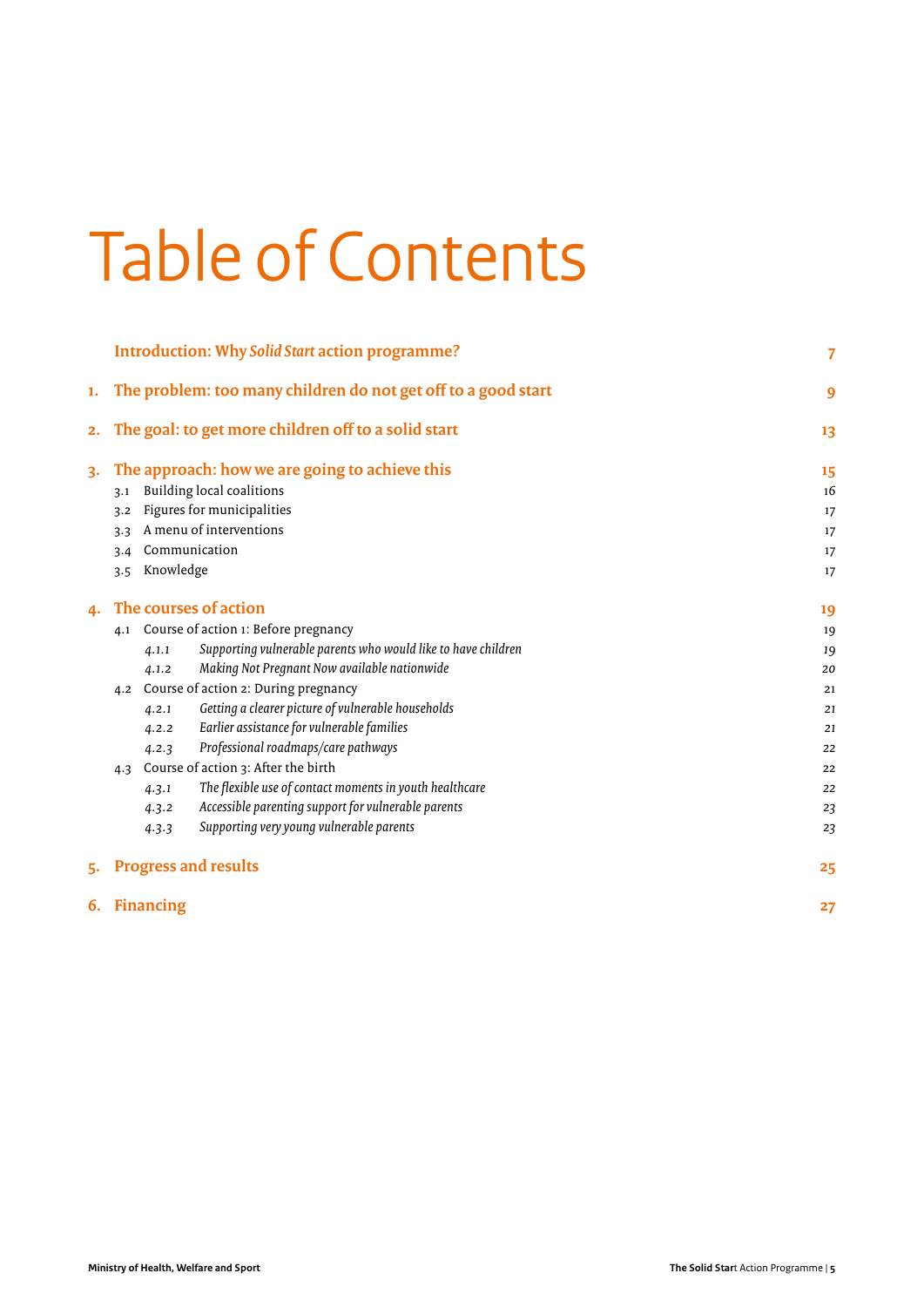### Table of Contents

|    | <b>Introduction: Why Solid Start action programme?</b>                 | 7  |
|----|------------------------------------------------------------------------|----|
|    |                                                                        |    |
| 1. | The problem: too many children do not get off to a good start          | 9  |
| 2. | The goal: to get more children off to a solid start                    | 13 |
| 3. | The approach: how we are going to achieve this                         | 15 |
|    | <b>Building local coalitions</b><br>3.1                                | 16 |
|    | Figures for municipalities<br>3.2                                      | 17 |
|    | A menu of interventions<br>3.3                                         | 17 |
|    | Communication<br>3.4                                                   | 17 |
|    | Knowledge<br>3.5                                                       | 17 |
| 4. | The courses of action                                                  | 19 |
|    | Course of action 1: Before pregnancy<br>4.1                            | 19 |
|    | Supporting vulnerable parents who would like to have children<br>4.1.1 | 19 |
|    | Making Not Pregnant Now available nationwide<br>4.1.2                  | 20 |
|    | Course of action 2: During pregnancy<br>4.2                            | 21 |
|    | Getting a clearer picture of vulnerable households<br>4.2.1            | 21 |
|    | Earlier assistance for vulnerable families<br>4.2.2                    | 21 |
|    | Professional roadmaps/care pathways<br>4.2.3                           | 22 |
|    | Course of action 3: After the birth<br>4.3                             | 22 |
|    | The flexible use of contact moments in youth healthcare<br>4.3.1       | 22 |
|    | Accessible parenting support for vulnerable parents<br>4.3.2           | 23 |
|    | Supporting very young vulnerable parents<br>4.3.3                      | 23 |
| 5. | <b>Progress and results</b>                                            | 25 |
|    | 6. Financing                                                           | 27 |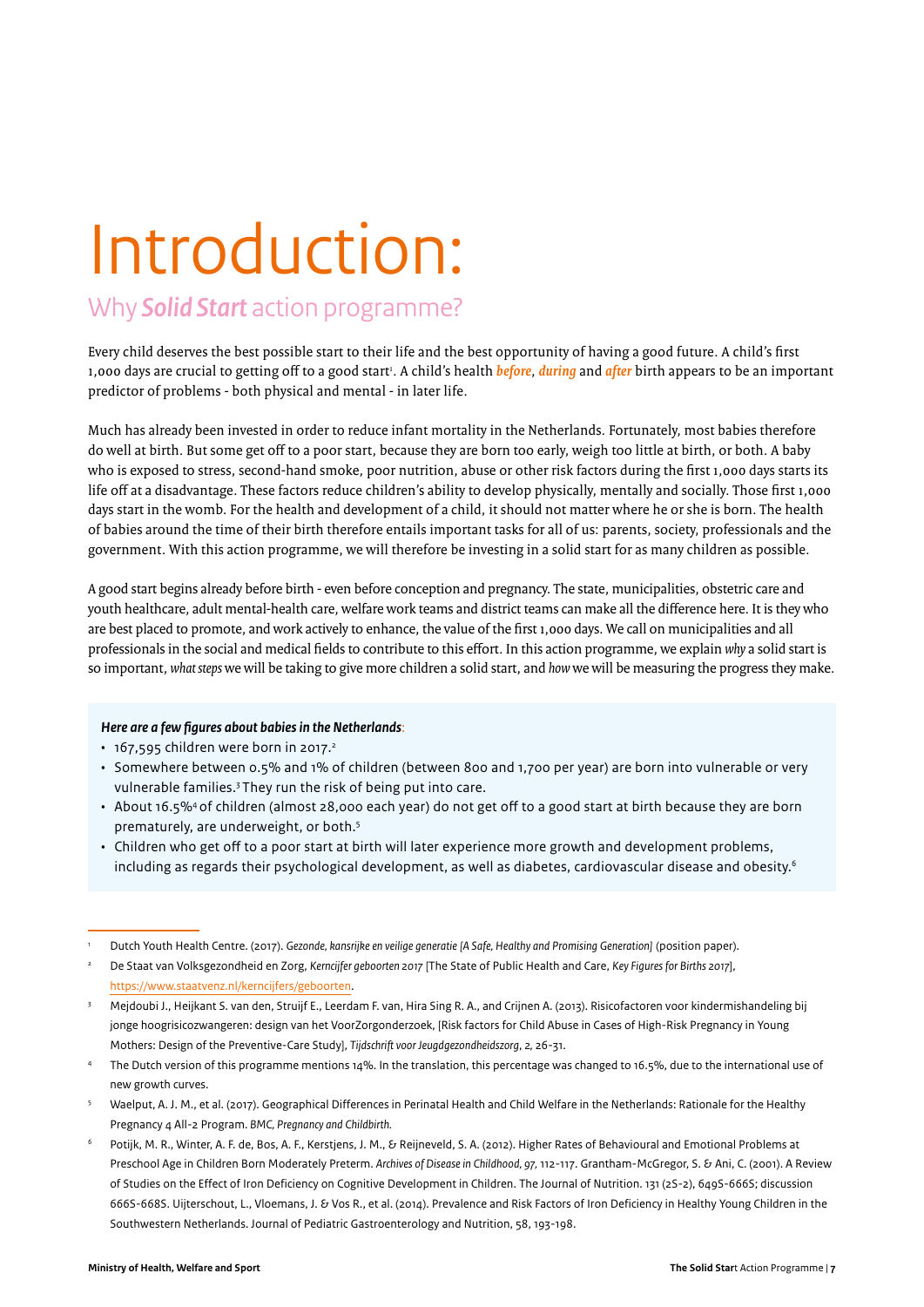## <span id="page-5-0"></span>Introduction:

#### Why *Solid Start* action programme?

Every child deserves the best possible start to their life and the best opportunity of having a good future. A child's first 1,000 days are crucial to getting off to a good start'. A child's health *before, during* and after birth appears to be an important predictor of problems - both physical and mental - in later life.

Much has already been invested in order to reduce infant mortality in the Netherlands. Fortunately, most babies therefore do well at birth. But some get off to a poor start, because they are born too early, weigh too little at birth, or both. A baby who is exposed to stress, second-hand smoke, poor nutrition, abuse or other risk factors during the first 1,000 days starts its life off at a disadvantage. These factors reduce children's ability to develop physically, mentally and socially. Those first 1,000 days start in the womb. For the health and development of a child, it should not matter where he or she is born. The health of babies around the time of their birth therefore entails important tasks for all of us: parents, society, professionals and the government. With this action programme, we will therefore be investing in a solid start for as many children as possible.

A good start begins already before birth - even before conception and pregnancy. The state, municipalities, obstetric care and youth healthcare, adult mental-health care, welfare work teams and district teams can make all the difference here. It is they who are best placed to promote, and work actively to enhance, the value of the first 1,000 days. We call on municipalities and all professionals in the social and medical fields to contribute to this effort. In this action programme, we explain *why* a solid start is so important, *what steps* we will be taking to give more children a solid start, and *how* we will be measuring the progress they make.

#### *Here are a few figures about babies in the Netherlands*:

- $\cdot$  167,595 children were born in 2017.<sup>2</sup>
- Somewhere between 0.5% and 1% of children (between 800 and 1,700 per year) are born into vulnerable or very vulnerable families.3 They run the risk of being put into care.
- About 16.5%4 of children (almost 28,000 each year) do not get off to a good start at birth because they are born prematurely, are underweight, or both.5
- Children who get off to a poor start at birth will later experience more growth and development problems, including as regards their psychological development, as well as diabetes, cardiovascular disease and obesity.<sup>6</sup>

- <sup>2</sup> De Staat van Volksgezondheid en Zorg, *Kerncijfer geboorten 2017* [The State of Public Health and Care, *Key Figures for Births 2017*], <https://www.staatvenz.nl/kerncijfers/geboorten>.
- <sup>3</sup> Mejdoubi J., Heijkant S. van den, Struijf E., Leerdam F. van, Hira Sing R. A., and Crijnen A. (2013). Risicofactoren voor kindermishandeling bij jonge hoogrisicozwangeren: design van het VoorZorgonderzoek, [Risk factors for Child Abuse in Cases of High-Risk Pregnancy in Young Mothers: Design of the Preventive-Care Study], *Tijdschrift voor Jeugdgezondheidszorg*, *2,* 26-31.
- The Dutch version of this programme mentions 14%. In the translation, this percentage was changed to 16.5%, due to the international use of new growth curves.
- Waelput, A. J. M., et al. (2017). Geographical Differences in Perinatal Health and Child Welfare in the Netherlands: Rationale for the Healthy Pregnancy 4 All-2 Program. *BMC, Pregnancy and Childbirth.*
- Potijk, M. R., Winter, A. F. de, Bos, A. F., Kerstjens, J. M., & Reijneveld, S. A. (2012). Higher Rates of Behavioural and Emotional Problems at Preschool Age in Children Born Moderately Preterm. *Archives of Disease in Childhood, 97,* 112-117. Grantham-McGregor, S. & Ani, C. (2001). A Review of Studies on the Effect of Iron Deficiency on Cognitive Development in Children. The Journal of Nutrition. 131 (2S-2), 649S-666S; discussion 666S-668S. Uijterschout, L., Vloemans, J. & Vos R., et al. (2014). Prevalence and Risk Factors of Iron Deficiency in Healthy Young Children in the Southwestern Netherlands. Journal of Pediatric Gastroenterology and Nutrition, 58, 193-198.

<sup>1</sup> Dutch Youth Health Centre. (2017). *Gezonde, kansrijke en veilige generatie [A Safe, Healthy and Promising Generation]* (position paper).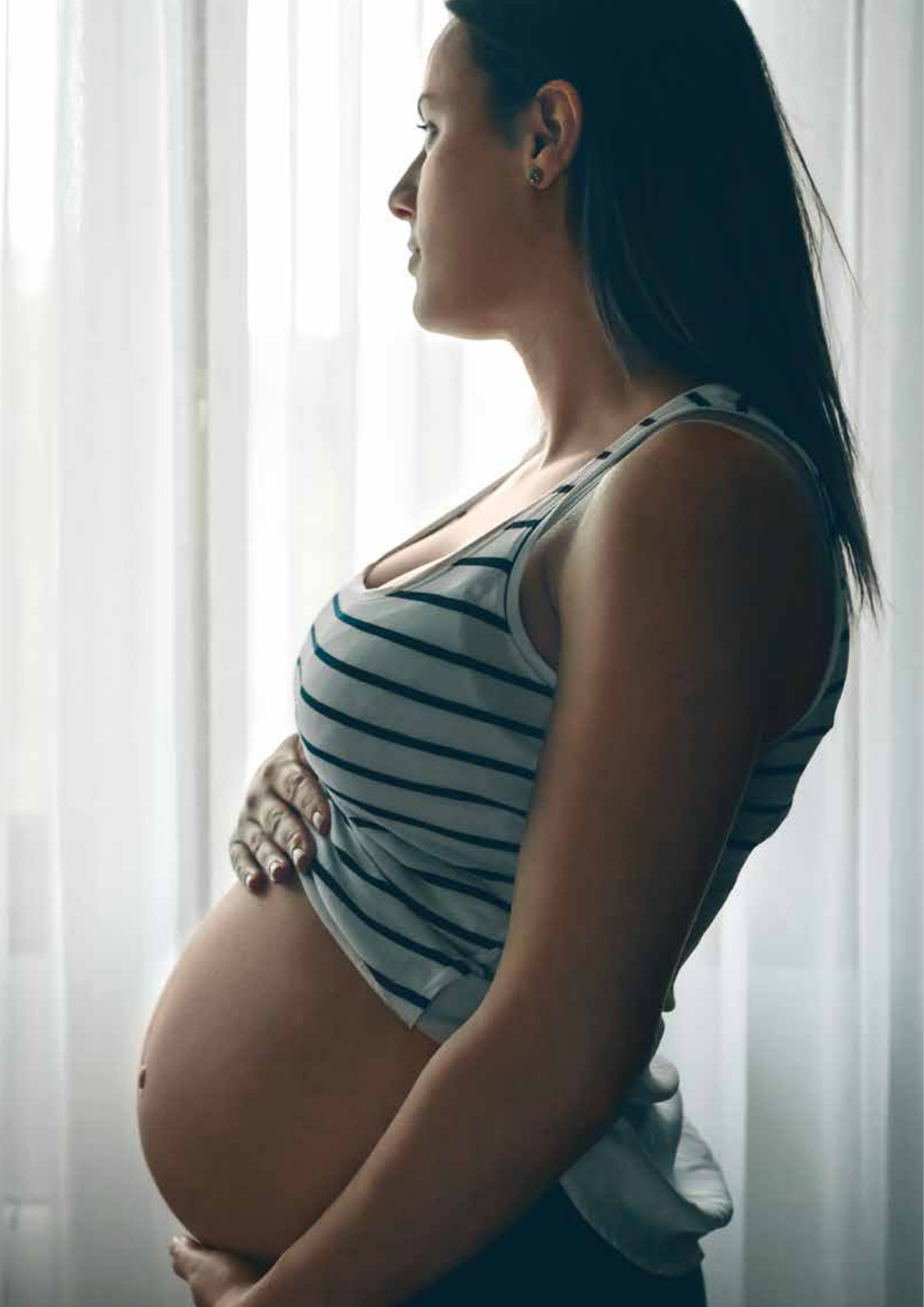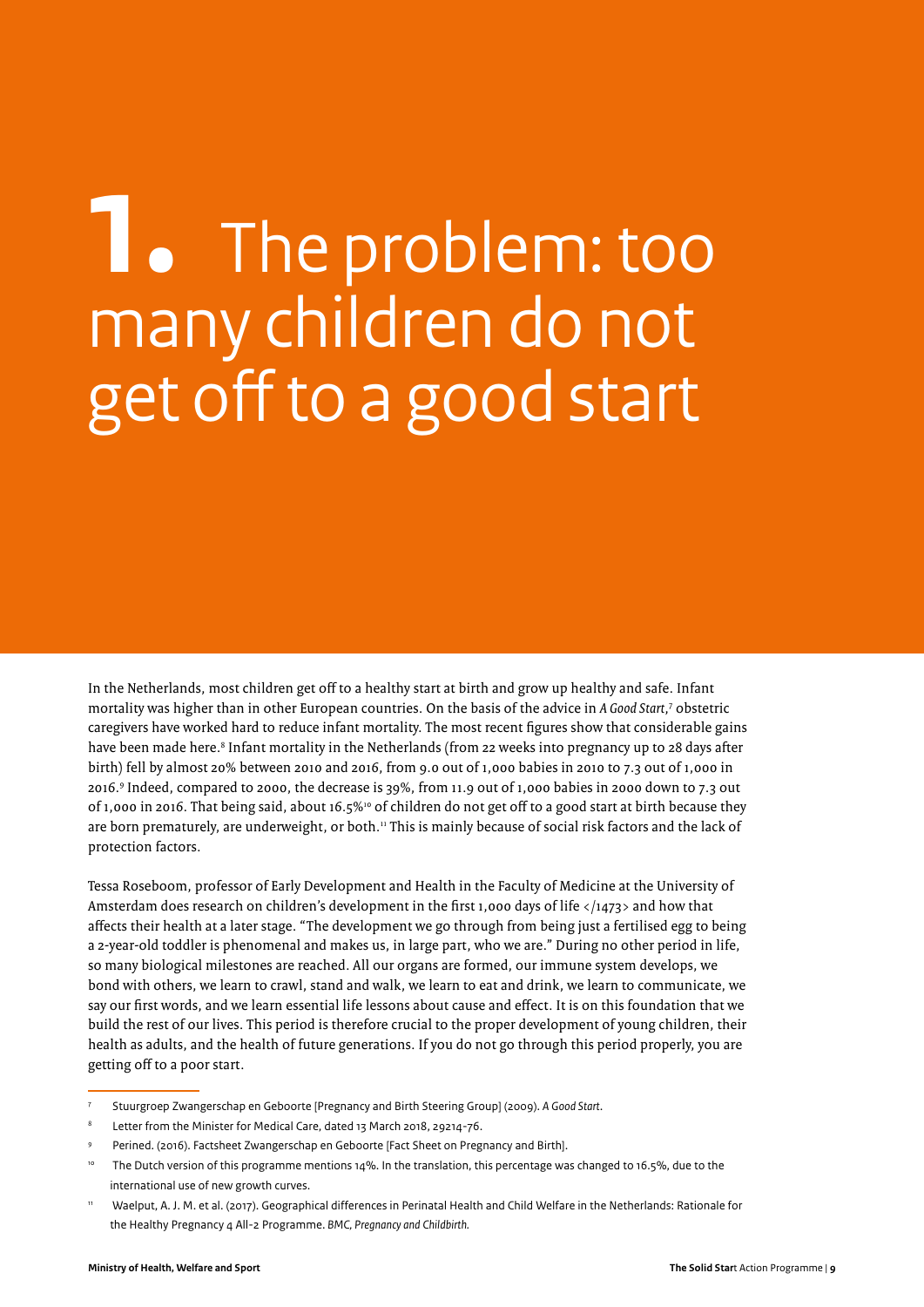## <span id="page-7-0"></span>**1.** The problem: too many children do not get off to a good start

In the Netherlands, most children get off to a healthy start at birth and grow up healthy and safe. Infant mortality was higher than in other European countries. On the basis of the advice in A Good Start,<sup>7</sup> obstetric caregivers have worked hard to reduce infant mortality. The most recent figures show that considerable gains have been made here.8 Infant mortality in the Netherlands (from 22 weeks into pregnancy up to 28 days after birth) fell by almost 20% between 2010 and 2016, from 9.0 out of 1,000 babies in 2010 to 7.3 out of 1,000 in 2016.9 Indeed, compared to 2000, the decrease is 39%, from 11.9 out of 1,000 babies in 2000 down to 7.3 out of 1,000 in 2016. That being said, about 16.5%<sup>10</sup> of children do not get off to a good start at birth because they are born prematurely, are underweight, or both.<sup>11</sup> This is mainly because of social risk factors and the lack of protection factors.

Tessa Roseboom, professor of Early Development and Health in the Faculty of Medicine at the University of Amsterdam does research on children's development in the first 1,000 days of life </1473> and how that affects their health at a later stage. "The development we go through from being just a fertilised egg to being a 2-year-old toddler is phenomenal and makes us, in large part, who we are." During no other period in life, so many biological milestones are reached. All our organs are formed, our immune system develops, we bond with others, we learn to crawl, stand and walk, we learn to eat and drink, we learn to communicate, we say our first words, and we learn essential life lessons about cause and effect. It is on this foundation that we build the rest of our lives. This period is therefore crucial to the proper development of young children, their health as adults, and the health of future generations. If you do not go through this period properly, you are getting off to a poor start.

<sup>7</sup> Stuurgroep Zwangerschap en Geboorte [Pregnancy and Birth Steering Group] (2009). *A Good Start*.

<sup>8</sup> Letter from the Minister for Medical Care, dated 13 March 2018, 29214-76.

Perined. (2016). Factsheet Zwangerschap en Geboorte [Fact Sheet on Pregnancy and Birth].

The Dutch version of this programme mentions  $14\%$ . In the translation, this percentage was changed to 16.5%, due to the international use of new growth curves.

<sup>11</sup> Waelput, A. J. M. et al. (2017). Geographical differences in Perinatal Health and Child Welfare in the Netherlands: Rationale for the Healthy Pregnancy 4 All-2 Programme. *BMC, Pregnancy and Childbirth.*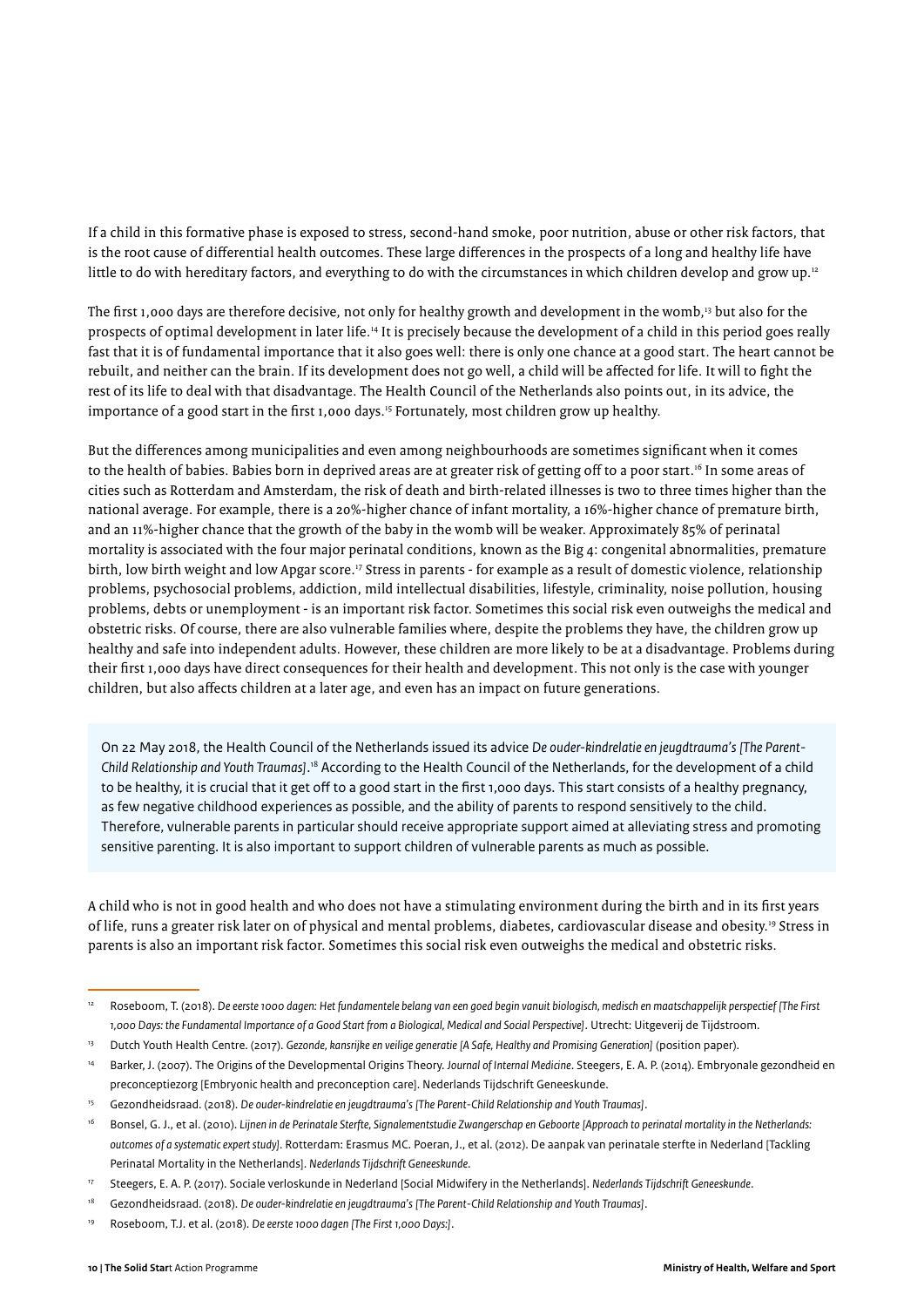If a child in this formative phase is exposed to stress, second-hand smoke, poor nutrition, abuse or other risk factors, that is the root cause of differential health outcomes. These large differences in the prospects of a long and healthy life have little to do with hereditary factors, and everything to do with the circumstances in which children develop and grow up.<sup>12</sup>

The first 1,000 days are therefore decisive, not only for healthy growth and development in the womb,<sup>13</sup> but also for the prospects of optimal development in later life.14 It is precisely because the development of a child in this period goes really fast that it is of fundamental importance that it also goes well: there is only one chance at a good start. The heart cannot be rebuilt, and neither can the brain. If its development does not go well, a child will be affected for life. It will to fight the rest of its life to deal with that disadvantage. The Health Council of the Netherlands also points out, in its advice, the importance of a good start in the first 1,000 days.15 Fortunately, most children grow up healthy.

But the differences among municipalities and even among neighbourhoods are sometimes significant when it comes to the health of babies. Babies born in deprived areas are at greater risk of getting off to a poor start.<sup>16</sup> In some areas of cities such as Rotterdam and Amsterdam, the risk of death and birth-related illnesses is two to three times higher than the national average. For example, there is a 20%-higher chance of infant mortality, a 16%-higher chance of premature birth, and an 11%-higher chance that the growth of the baby in the womb will be weaker. Approximately 85% of perinatal mortality is associated with the four major perinatal conditions, known as the Big 4: congenital abnormalities, premature birth, low birth weight and low Apgar score.<sup>17</sup> Stress in parents - for example as a result of domestic violence, relationship problems, psychosocial problems, addiction, mild intellectual disabilities, lifestyle, criminality, noise pollution, housing problems, debts or unemployment - is an important risk factor. Sometimes this social risk even outweighs the medical and obstetric risks. Of course, there are also vulnerable families where, despite the problems they have, the children grow up healthy and safe into independent adults. However, these children are more likely to be at a disadvantage. Problems during their first 1,000 days have direct consequences for their health and development. This not only is the case with younger children, but also affects children at a later age, and even has an impact on future generations.

On 22 May 2018, the Health Council of the Netherlands issued its advice *De ouder-kindrelatie en jeugdtrauma's [The Parent-*Child Relationship and Youth Traumas].<sup>8</sup> According to the Health Council of the Netherlands, for the development of a child to be healthy, it is crucial that it get off to a good start in the first 1,000 days. This start consists of a healthy pregnancy, as few negative childhood experiences as possible, and the ability of parents to respond sensitively to the child. Therefore, vulnerable parents in particular should receive appropriate support aimed at alleviating stress and promoting sensitive parenting. It is also important to support children of vulnerable parents as much as possible.

A child who is not in good health and who does not have a stimulating environment during the birth and in its first years of life, runs a greater risk later on of physical and mental problems, diabetes, cardiovascular disease and obesity.19 Stress in parents is also an important risk factor. Sometimes this social risk even outweighs the medical and obstetric risks.

<sup>12</sup> Roseboom, T. (2018). *De eerste 1000 dagen: Het fundamentele belang van een goed begin vanuit biologisch, medisch en maatschappelijk perspectief [The First 1,000 Days: the Fundamental Importance of a Good Start from a Biological, Medical and Social Perspective]*. Utrecht: Uitgeverij de Tijdstroom.

<sup>&</sup>lt;sup>13</sup> Dutch Youth Health Centre. (2017). Gezonde, kansrijke en veilige generatie [A Safe, Healthy and Promising Generation] (position paper).

<sup>14</sup> Barker, J. (2007). The Origins of the Developmental Origins Theory. *Journal of Internal Medicine*. Steegers, E. A. P. (2014). Embryonale gezondheid en preconceptiezorg [Embryonic health and preconception care]. Nederlands Tijdschrift Geneeskunde.

<sup>15</sup> Gezondheidsraad. (2018). *De ouder-kindrelatie en jeugdtrauma's [The Parent-Child Relationship and Youth Traumas]*.

<sup>16</sup> Bonsel, G. J., et al. (2010). *Lijnen in de Perinatale Sterfte, Signalementstudie Zwangerschap en Geboorte [Approach to perinatal mortality in the Netherlands: outcomes of a systematic expert study].* Rotterdam: Erasmus MC. Poeran, J., et al. (2012). De aanpak van perinatale sterfte in Nederland [Tackling Perinatal Mortality in the Netherlands]. *Nederlands Tijdschrift Geneeskunde*.

<sup>17</sup> Steegers, E. A. P. (2017). Sociale verloskunde in Nederland [Social Midwifery in the Netherlands]. *Nederlands Tijdschrift Geneeskunde*.

<sup>18</sup> Gezondheidsraad. (2018). *De ouder-kindrelatie en jeugdtrauma's [The Parent-Child Relationship and Youth Traumas]*.

<sup>19</sup> Roseboom, T.J. et al. (2018). *De eerste 1000 dagen [The First 1,000 Days:]*.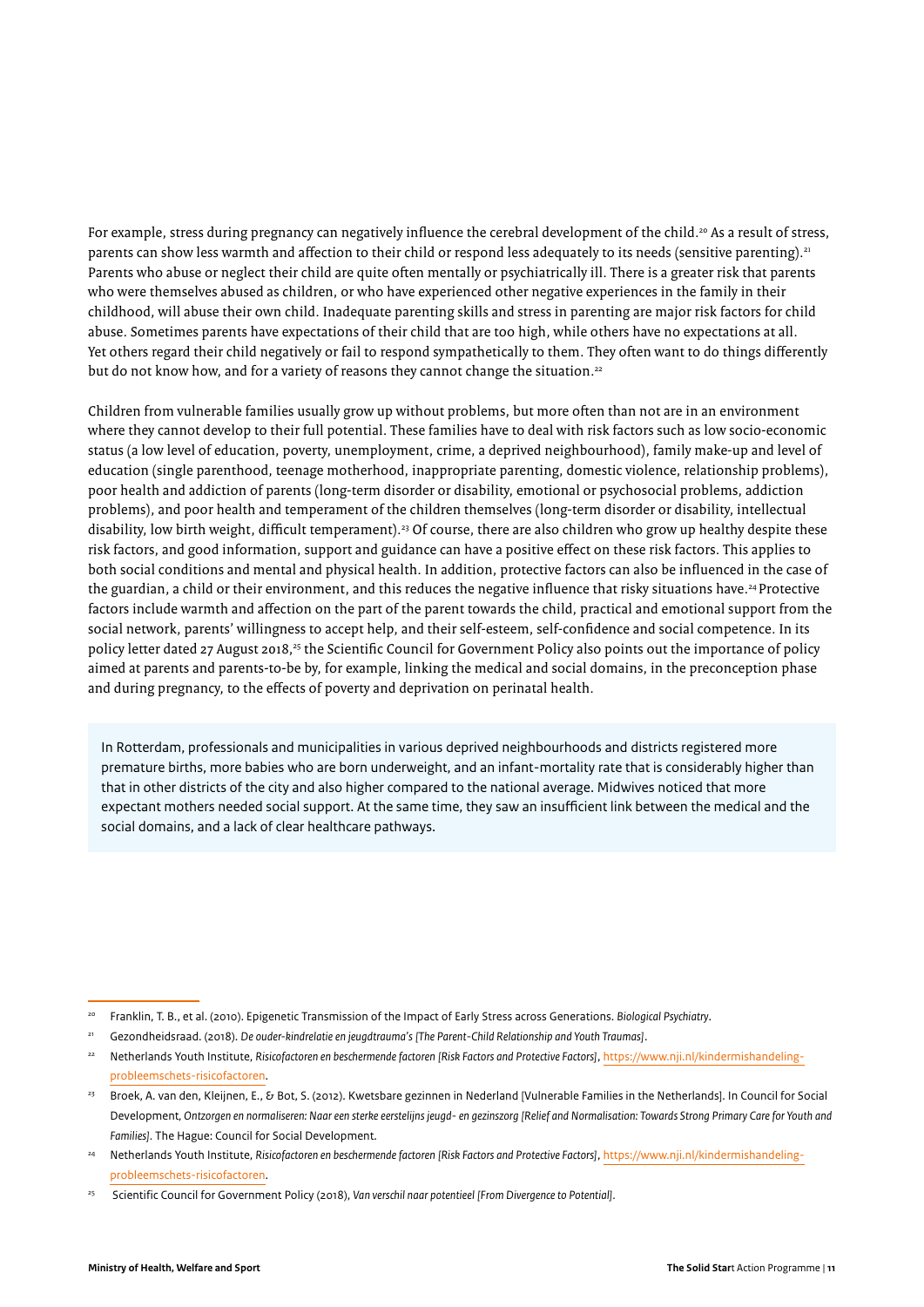For example, stress during pregnancy can negatively influence the cerebral development of the child.<sup>20</sup> As a result of stress, parents can show less warmth and affection to their child or respond less adequately to its needs (sensitive parenting).<sup>21</sup> Parents who abuse or neglect their child are quite often mentally or psychiatrically ill. There is a greater risk that parents who were themselves abused as children, or who have experienced other negative experiences in the family in their childhood, will abuse their own child. Inadequate parenting skills and stress in parenting are major risk factors for child abuse. Sometimes parents have expectations of their child that are too high, while others have no expectations at all. Yet others regard their child negatively or fail to respond sympathetically to them. They often want to do things differently but do not know how, and for a variety of reasons they cannot change the situation.<sup>22</sup>

Children from vulnerable families usually grow up without problems, but more often than not are in an environment where they cannot develop to their full potential. These families have to deal with risk factors such as low socio-economic status (a low level of education, poverty, unemployment, crime, a deprived neighbourhood), family make-up and level of education (single parenthood, teenage motherhood, inappropriate parenting, domestic violence, relationship problems), poor health and addiction of parents (long-term disorder or disability, emotional or psychosocial problems, addiction problems), and poor health and temperament of the children themselves (long-term disorder or disability, intellectual disability, low birth weight, difficult temperament).<sup>23</sup> Of course, there are also children who grow up healthy despite these risk factors, and good information, support and guidance can have a positive effect on these risk factors. This applies to both social conditions and mental and physical health. In addition, protective factors can also be influenced in the case of the guardian, a child or their environment, and this reduces the negative influence that risky situations have.<sup>24</sup> Protective factors include warmth and affection on the part of the parent towards the child, practical and emotional support from the social network, parents' willingness to accept help, and their self-esteem, self-confidence and social competence. In its policy letter dated 27 August 2018,25 the Scientific Council for Government Policy also points out the importance of policy aimed at parents and parents-to-be by, for example, linking the medical and social domains, in the preconception phase and during pregnancy, to the effects of poverty and deprivation on perinatal health.

In Rotterdam, professionals and municipalities in various deprived neighbourhoods and districts registered more premature births, more babies who are born underweight, and an infant-mortality rate that is considerably higher than that in other districts of the city and also higher compared to the national average. Midwives noticed that more expectant mothers needed social support. At the same time, they saw an insufficient link between the medical and the social domains, and a lack of clear healthcare pathways.

<sup>20</sup> Franklin, T. B., et al. (2010). Epigenetic Transmission of the Impact of Early Stress across Generations. *Biological Psychiatry*.

<sup>21</sup> Gezondheidsraad. (2018). *De ouder-kindrelatie en jeugdtrauma's [The Parent-Child Relationship and Youth Traumas]*.

<sup>22</sup> Netherlands Youth Institute, *Risicofactoren en beschermende factoren [Risk Factors and Protective Factors]*, [https://www.nji.nl/kindermishandeling](https://www.nji.nl/kindermishandeling-probleemschets-risicofactoren)[probleemschets-risicofactoren.](https://www.nji.nl/kindermishandeling-probleemschets-risicofactoren)

<sup>&</sup>lt;sup>23</sup> Broek, A. van den, Kleijnen, E., & Bot, S. (2012). Kwetsbare gezinnen in Nederland [Vulnerable Families in the Netherlands]. In Council for Social Development*, Ontzorgen en normaliseren: Naar een sterke eerstelijns jeugd- en gezinszorg [Relief and Normalisation: Towards Strong Primary Care for Youth and Families].* The Hague: Council for Social Development.

<sup>24</sup> Netherlands Youth Institute, *Risicofactoren en beschermende factoren [Risk Factors and Protective Factors]*, [https://www.nji.nl/kindermishandeling](https://www.nji.nl/kindermishandeling-probleemschets-risicofactoren)[probleemschets-risicofactoren.](https://www.nji.nl/kindermishandeling-probleemschets-risicofactoren)

<sup>25</sup> Scientific Council for Government Policy (2018), *Van verschil naar potentieel [From Divergence to Potential].*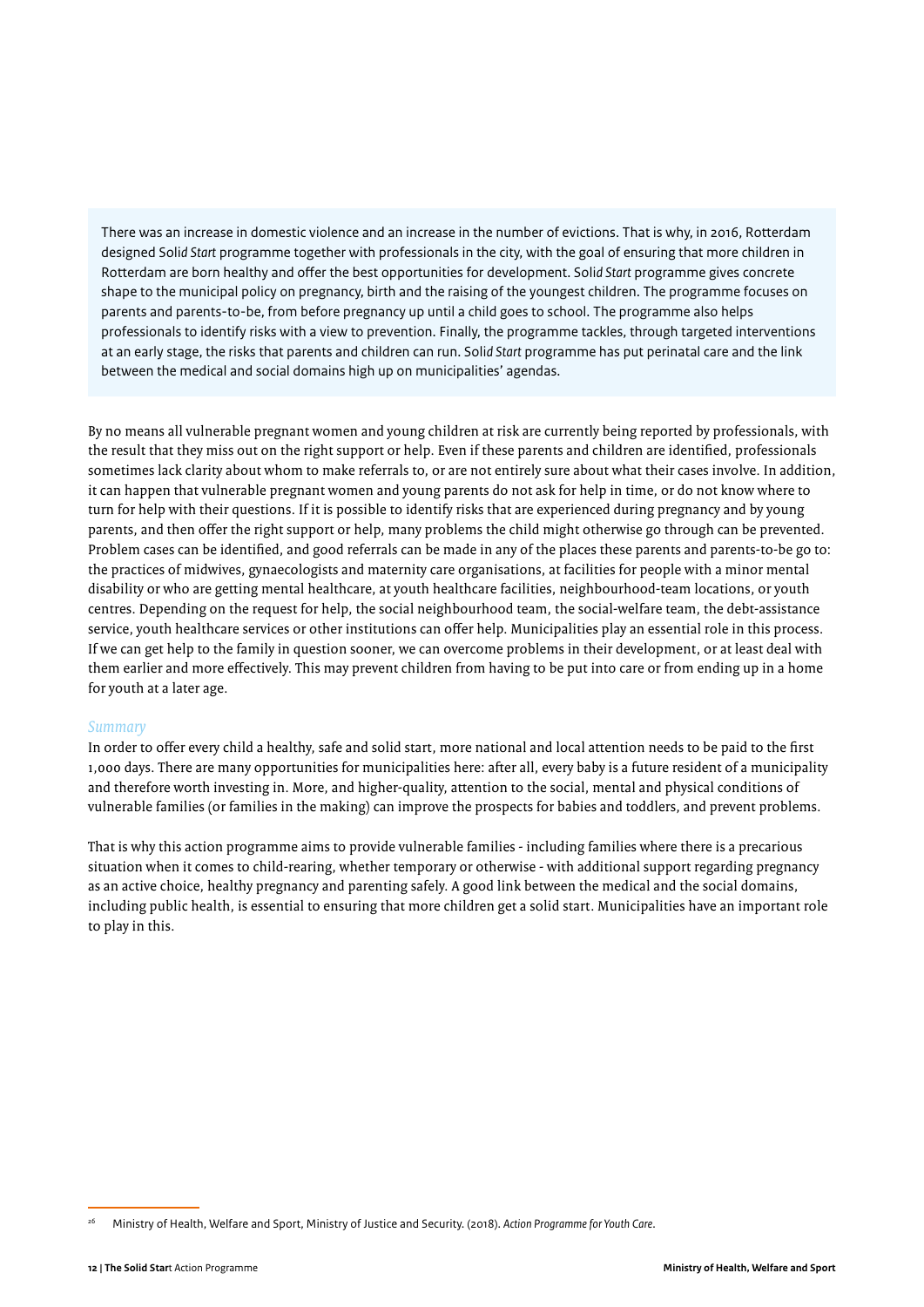There was an increase in domestic violence and an increase in the number of evictions. That is why, in 2016, Rotterdam designed Soli*[d Start](https://www.rotterdam.nl/wonen-leven/stevige-start/)* programme together with professionals in the city, with the goal of ensuring that more children in Rotterdam are born healthy and offer the best opportunities for development. Soli*d Start* programme gives concrete shape to the municipal policy on pregnancy, birth and the raising of the youngest children. The programme focuses on parents and parents-to-be, from before pregnancy up until a child goes to school. The programme also helps professionals to identify risks with a view to prevention. Finally, the programme tackles, through targeted interventions at an early stage, the risks that parents and children can run. Soli*d Start* programme has put perinatal care and the link between the medical and social domains high up on municipalities' agendas.

By no means all vulnerable pregnant women and young children at risk are currently being reported by professionals, with the result that they miss out on the right support or help. Even if these parents and children are identified, professionals sometimes lack clarity about whom to make referrals to, or are not entirely sure about what their cases involve. In addition, it can happen that vulnerable pregnant women and young parents do not ask for help in time, or do not know where to turn for help with their questions. If it is possible to identify risks that are experienced during pregnancy and by young parents, and then offer the right support or help, many problems the child might otherwise go through can be prevented. Problem cases can be identified, and good referrals can be made in any of the places these parents and parents-to-be go to: the practices of midwives, gynaecologists and maternity care organisations, at facilities for people with a minor mental disability or who are getting mental healthcare, at youth healthcare facilities, neighbourhood-team locations, or youth centres. Depending on the request for help, the social neighbourhood team, the social-welfare team, the debt-assistance service, youth healthcare services or other institutions can offer help. Municipalities play an essential role in this process. If we can get help to the family in question sooner, we can overcome problems in their development, or at least deal with them earlier and more effectively. This may prevent children from having to be put into care or from ending up in a home for youth at a later age.

#### *Summary*

In order to offer every child a healthy, safe and solid start, more national and local attention needs to be paid to the first 1,000 days. There are many opportunities for municipalities here: after all, every baby is a future resident of a municipality and therefore worth investing in. More, and higher-quality, attention to the social, mental and physical conditions of vulnerable families (or families in the making) can improve the prospects for babies and toddlers, and prevent problems.

That is why this action programme aims to provide vulnerable families - including families where there is a precarious situation when it comes to child-rearing, whether temporary or otherwise - with additional support regarding pregnancy as an active choice, healthy pregnancy and parenting safely. A good link between the medical and the social domains, including public health, is essential to ensuring that more children get a solid start. Municipalities have an important role to play in this.

<sup>26</sup> Ministry of Health, Welfare and Sport, Ministry of Justice and Security. (2018). *Action Programme for Youth Care*.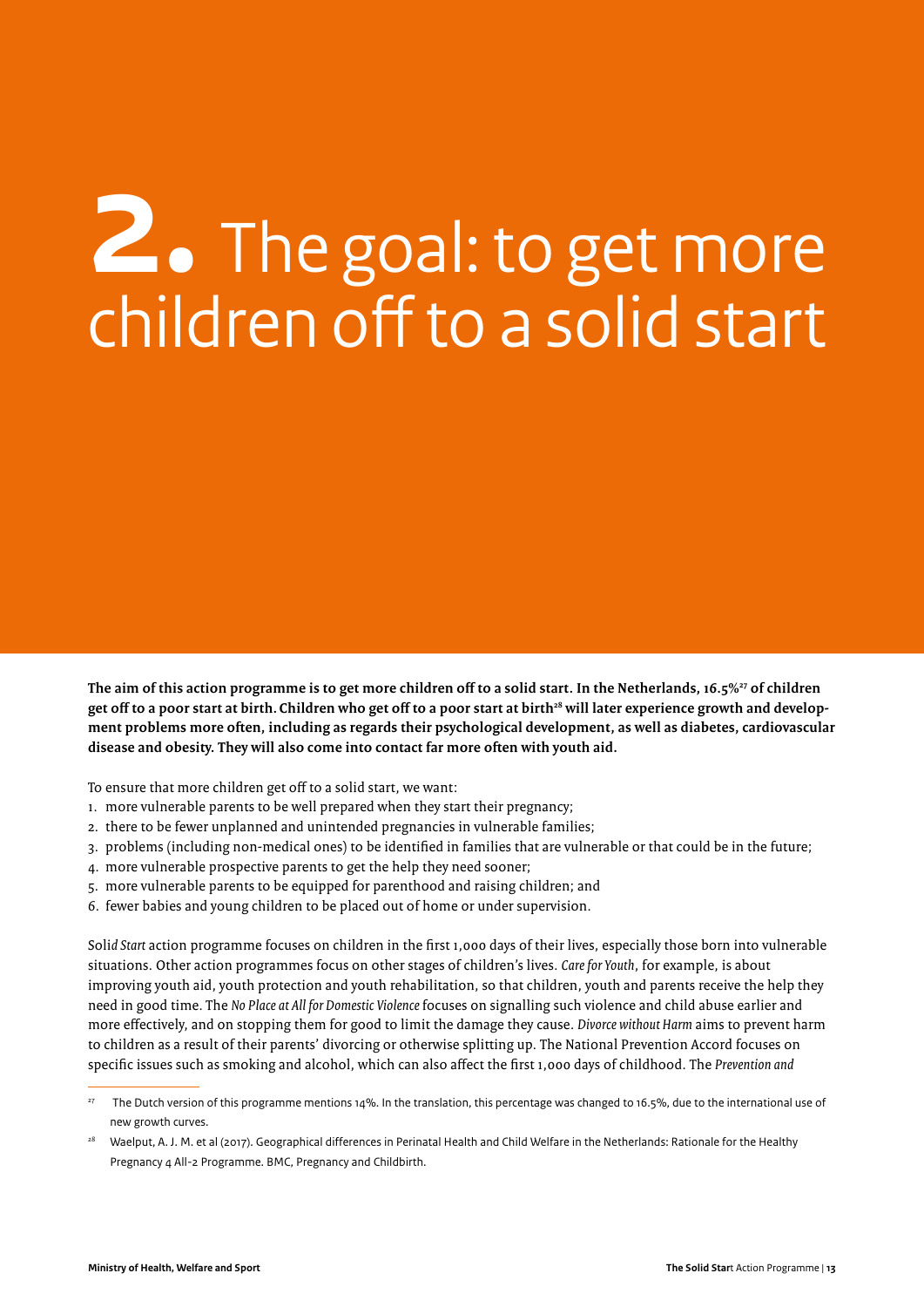## <span id="page-11-0"></span>**2.** The goal: to get more children off to a solid start

**The aim of this action programme is to get more children off to a solid start. In the Netherlands, 16.5%27 of children**  get off to a poor start at birth. Children who get off to a poor start at birth<sup>28</sup> will later experience growth and develop**ment problems more often, including as regards their psychological development, as well as diabetes, cardiovascular disease and obesity. They will also come into contact far more often with youth aid.** 

To ensure that more children get off to a solid start, we want:

- 1. more vulnerable parents to be well prepared when they start their pregnancy;
- 2. there to be fewer unplanned and unintended pregnancies in vulnerable families;
- 3. problems (including non-medical ones) to be identified in families that are vulnerable or that could be in the future;
- 4. more vulnerable prospective parents to get the help they need sooner;
- 5. more vulnerable parents to be equipped for parenthood and raising children; and
- 6. fewer babies and young children to be placed out of home or under supervision.

Soli*d Start* action programme focuses on children in the first 1,000 days of their lives, especially those born into vulnerable situations. Other action programmes focus on other stages of children's lives. *Care for Youth*, for example, is about improving youth aid, youth protection and youth rehabilitation, so that children, youth and parents receive the help they need in good time. The *No Place at All for Domestic Violence* focuses on signalling such violence and child abuse earlier and more effectively, and on stopping them for good to limit the damage they cause. *Divorce without Harm* aims to prevent harm to children as a result of their parents' divorcing or otherwise splitting up. The National Prevention Accord focuses on specific issues such as smoking and alcohol, which can also affect the first 1,000 days of childhood. The *Prevention and* 

<sup>&</sup>lt;sup>27</sup> The Dutch version of this programme mentions 14%. In the translation, this percentage was changed to 16.5%, due to the international use of new growth curves.

<sup>28</sup> Waelput, A. J. M. et al (2017). Geographical differences in Perinatal Health and Child Welfare in the Netherlands: Rationale for the Healthy Pregnancy 4 All-2 Programme. BMC, Pregnancy and Childbirth.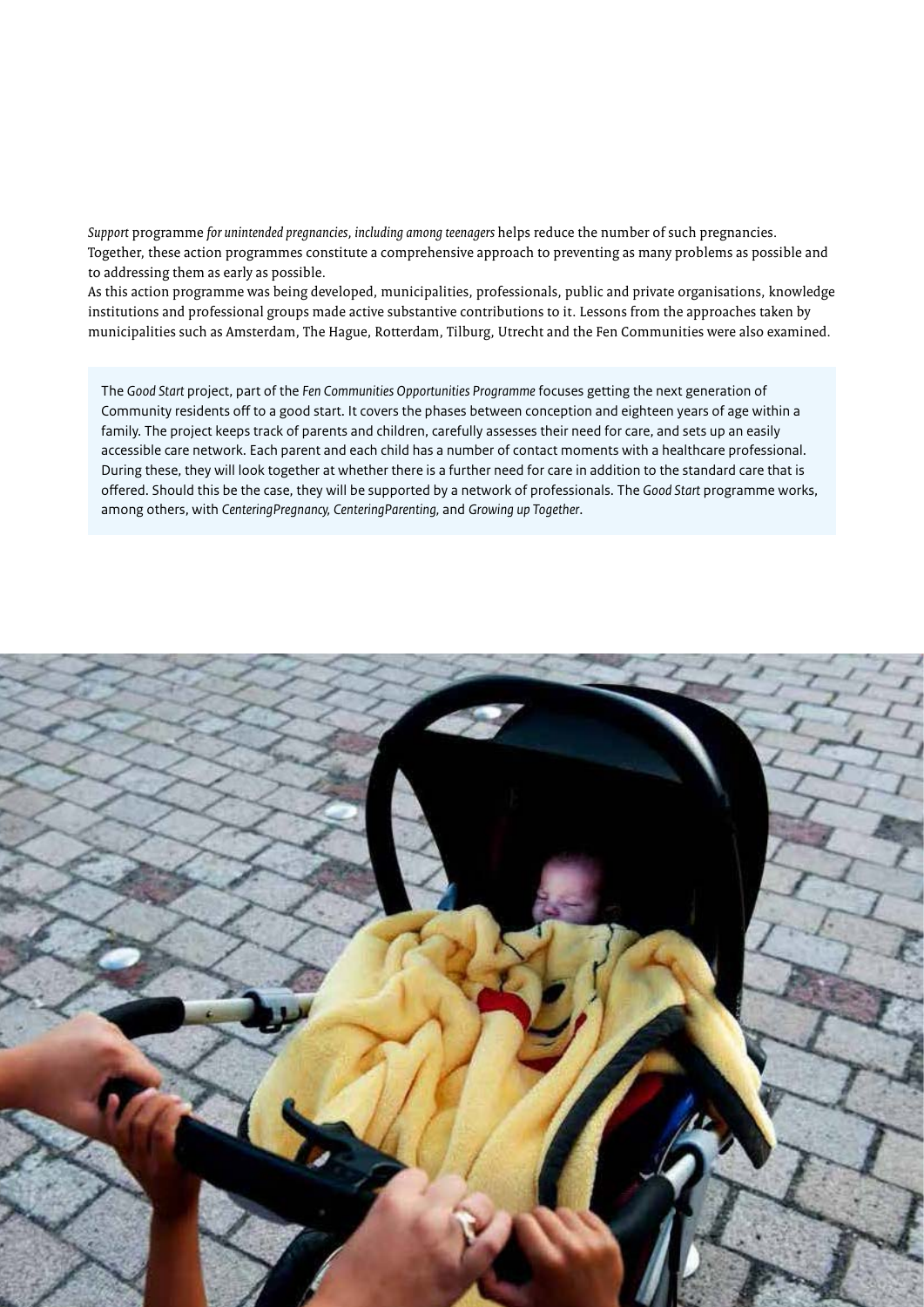*Support* programme *for unintended pregnancies, including among teenagers* helps reduce the number of such pregnancies. Together, these action programmes constitute a comprehensive approach to preventing as many problems as possible and to addressing them as early as possible.

As this action programme was being developed, municipalities, professionals, public and private organisations, knowledge institutions and professional groups made active substantive contributions to it. Lessons from the approaches taken by municipalities such as Amsterdam, The Hague, Rotterdam, Tilburg, Utrecht and the Fen Communities were also examined.

The *[Good Start](http://www.kvdvk.nl/projecten/projectbeschrijvingen/24-activiteiten/118-goede-start)* project, part of the *Fen Communities Opportunities Programme* focuses getting the next generation of Community residents off to a good start. It covers the phases between conception and eighteen years of age within a family. The project keeps track of parents and children, carefully assesses their need for care, and sets up an easily accessible care network. Each parent and each child has a number of contact moments with a healthcare professional. During these, they will look together at whether there is a further need for care in addition to the standard care that is offered. Should this be the case, they will be supported by a network of professionals. The *Good Start* programme works, among others, with *CenteringPregnancy, CenteringParenting,* and *Growing up Together*.

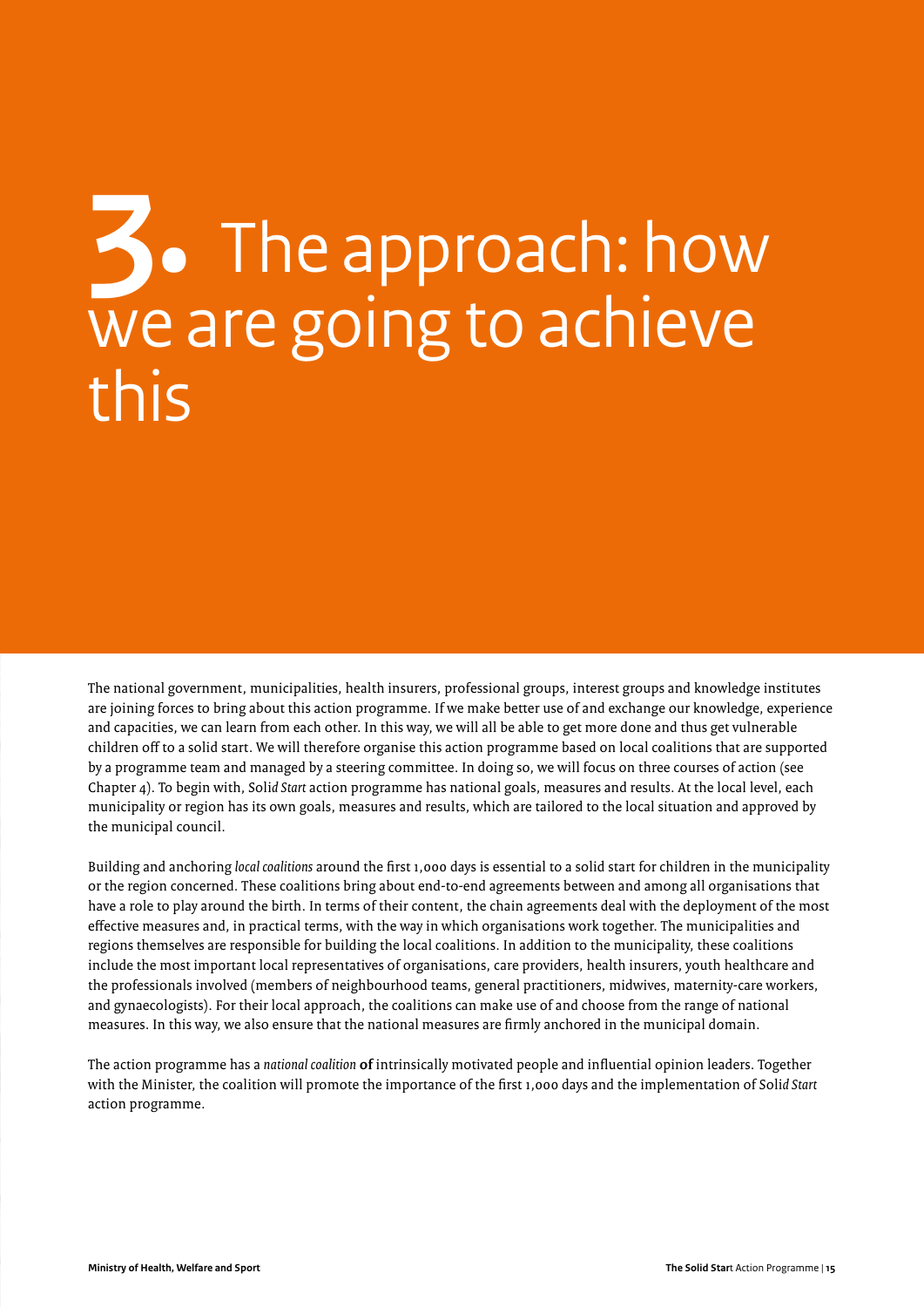## <span id="page-13-0"></span>**3.** The approach: how we are going to achieve this

The national government, municipalities, health insurers, professional groups, interest groups and knowledge institutes are joining forces to bring about this action programme. If we make better use of and exchange our knowledge, experience and capacities, we can learn from each other. In this way, we will all be able to get more done and thus get vulnerable children off to a solid start. We will therefore organise this action programme based on local coalitions that are supported by a programme team and managed by a steering committee. In doing so, we will focus on three courses of action (see Chapter 4). To begin with, Soli*d Start* action programme has national goals, measures and results. At the local level, each municipality or region has its own goals, measures and results, which are tailored to the local situation and approved by the municipal council.

Building and anchoring *local coalitions* around the first 1,000 days is essential to a solid start for children in the municipality or the region concerned. These coalitions bring about end-to-end agreements between and among all organisations that have a role to play around the birth. In terms of their content, the chain agreements deal with the deployment of the most effective measures and, in practical terms, with the way in which organisations work together. The municipalities and regions themselves are responsible for building the local coalitions. In addition to the municipality, these coalitions include the most important local representatives of organisations, care providers, health insurers, youth healthcare and the professionals involved (members of neighbourhood teams, general practitioners, midwives, maternity-care workers, and gynaecologists). For their local approach, the coalitions can make use of and choose from the range of national measures. In this way, we also ensure that the national measures are firmly anchored in the municipal domain.

The action programme has a *national coalition* **of** intrinsically motivated people and influential opinion leaders. Together with the Minister, the coalition will promote the importance of the first 1,000 days and the implementation of Soli*d Start* action programme.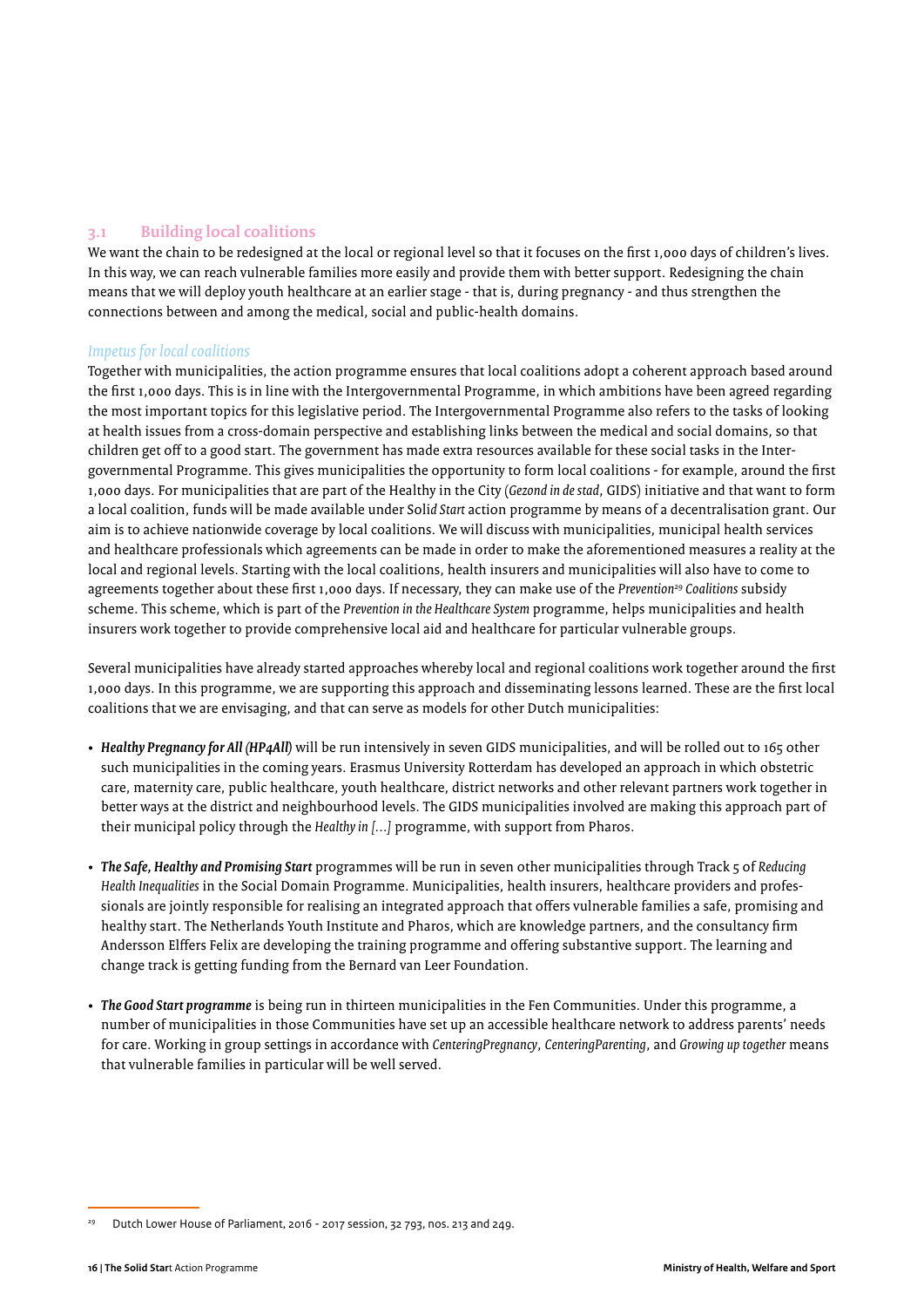#### <span id="page-14-0"></span>**3.1 Building local coalitions**

We want the chain to be redesigned at the local or regional level so that it focuses on the first 1,000 days of children's lives. In this way, we can reach vulnerable families more easily and provide them with better support. Redesigning the chain means that we will deploy youth healthcare at an earlier stage - that is, during pregnancy - and thus strengthen the connections between and among the medical, social and public-health domains.

#### *Impetus for local coalitions*

Together with municipalities, the action programme ensures that local coalitions adopt a coherent approach based around the first 1,000 days. This is in line with the Intergovernmental Programme, in which ambitions have been agreed regarding the most important topics for this legislative period. The Intergovernmental Programme also refers to the tasks of looking at health issues from a cross-domain perspective and establishing links between the medical and social domains, so that children get off to a good start. The government has made extra resources available for these social tasks in the Intergovernmental Programme. This gives municipalities the opportunity to form local coalitions - for example, around the first 1,000 days. For municipalities that are part of the Healthy in the City (*Gezond in de stad*, GIDS) initiative and that want to form a local coalition, funds will be made available under Soli*d Start* action programme by means of a decentralisation grant. Our aim is to achieve nationwide coverage by local coalitions. We will discuss with municipalities, municipal health services and healthcare professionals which agreements can be made in order to make the aforementioned measures a reality at the local and regional levels. Starting with the local coalitions, health insurers and municipalities will also have to come to agreements together about these first 1,000 days. If necessary, they can make use of the *Prevention*<sup>29</sup> *Coalitions* subsidy scheme. This scheme, which is part of the *Prevention in the Healthcare System* programme, helps municipalities and health insurers work together to provide comprehensive local aid and healthcare for particular vulnerable groups.

Several municipalities have already started approaches whereby local and regional coalitions work together around the first 1,000 days. In this programme, we are supporting this approach and disseminating lessons learned. These are the first local coalitions that we are envisaging, and that can serve as models for other Dutch municipalities:

- *Healthy Pregnancy for All (HP4All)* will be run intensively in seven GIDS municipalities, and will be rolled out to 165 other such municipalities in the coming years. Erasmus University Rotterdam has developed an approach in which obstetric care, maternity care, public healthcare, youth healthcare, district networks and other relevant partners work together in better ways at the district and neighbourhood levels. The GIDS municipalities involved are making this approach part of their municipal policy through the *Healthy in [...]* programme, with support from Pharos.
- *The Safe, Healthy and Promising Start* programmes will be run in seven other municipalities through Track 5 of *Reducing Health Inequalities* in the Social Domain Programme. Municipalities, health insurers, healthcare providers and professionals are jointly responsible for realising an integrated approach that offers vulnerable families a safe, promising and healthy start. The Netherlands Youth Institute and Pharos, which are knowledge partners, and the consultancy firm Andersson Elffers Felix are developing the training programme and offering substantive support. The learning and change track is getting funding from the Bernard van Leer Foundation.
- *The Good Start programme* is being run in thirteen municipalities in the Fen Communities. Under this programme, a number of municipalities in those Communities have set up an accessible healthcare network to address parents' needs for care. Working in group settings in accordance with *CenteringPregnancy*, *CenteringParenting*, and *Growing up together* means that vulnerable families in particular will be well served.

<sup>&</sup>lt;sup>29</sup> Dutch Lower House of Parliament, 2016 - 2017 session, 32 793, nos. 213 and 249.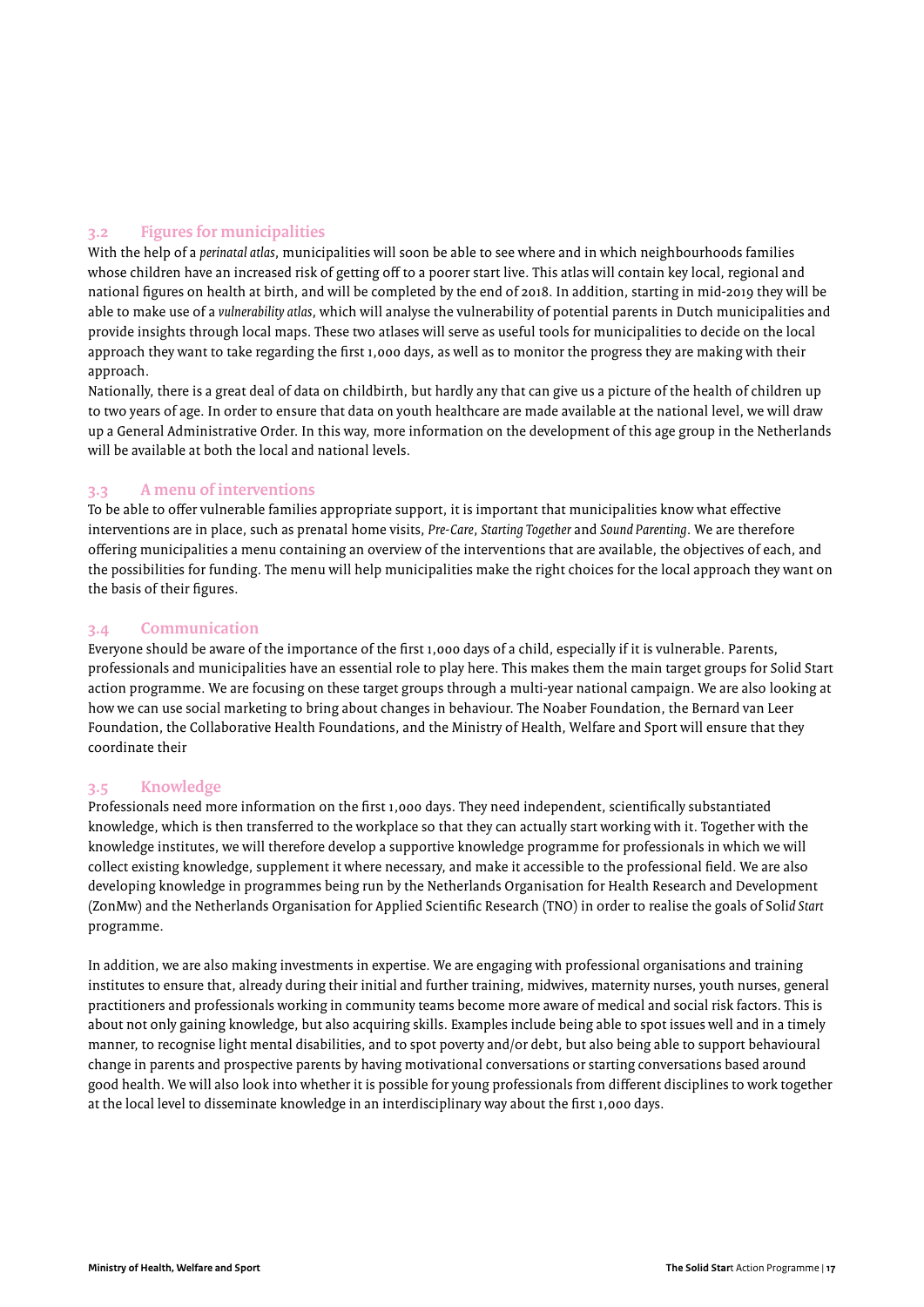#### <span id="page-15-0"></span>**3.2 Figures for municipalities**

With the help of a *perinatal atlas*, municipalities will soon be able to see where and in which neighbourhoods families whose children have an increased risk of getting off to a poorer start live. This atlas will contain key local, regional and national figures on health at birth, and will be completed by the end of 2018. In addition, starting in mid-2019 they will be able to make use of a *vulnerability atlas*, which will analyse the vulnerability of potential parents in Dutch municipalities and provide insights through local maps. These two atlases will serve as useful tools for municipalities to decide on the local approach they want to take regarding the first 1,000 days, as well as to monitor the progress they are making with their approach.

Nationally, there is a great deal of data on childbirth, but hardly any that can give us a picture of the health of children up to two years of age. In order to ensure that data on youth healthcare are made available at the national level, we will draw up a General Administrative Order. In this way, more information on the development of this age group in the Netherlands will be available at both the local and national levels.

#### **3.3 A menu of interventions**

To be able to offer vulnerable families appropriate support, it is important that municipalities know what effective interventions are in place, such as prenatal home visits, *Pre-Care*, *Starting Together* and *Sound Parenting*. We are therefore offering municipalities a menu containing an overview of the interventions that are available, the objectives of each, and the possibilities for funding. The menu will help municipalities make the right choices for the local approach they want on the basis of their figures.

#### **3.4 Communication**

Everyone should be aware of the importance of the first 1,000 days of a child, especially if it is vulnerable. Parents, professionals and municipalities have an essential role to play here. This makes them the main target groups for Solid Start action programme. We are focusing on these target groups through a multi-year national campaign. We are also looking at how we can use social marketing to bring about changes in behaviour. The Noaber Foundation, the Bernard van Leer Foundation, the Collaborative Health Foundations, and the Ministry of Health, Welfare and Sport will ensure that they coordinate their

#### **3.5 Knowledge**

Professionals need more information on the first 1,000 days. They need independent, scientifically substantiated knowledge, which is then transferred to the workplace so that they can actually start working with it. Together with the knowledge institutes, we will therefore develop a supportive knowledge programme for professionals in which we will collect existing knowledge, supplement it where necessary, and make it accessible to the professional field. We are also developing knowledge in programmes being run by the Netherlands Organisation for Health Research and Development (ZonMw) and the Netherlands Organisation for Applied Scientific Research (TNO) in order to realise the goals of Soli*d Start* programme.

In addition, we are also making investments in expertise. We are engaging with professional organisations and training institutes to ensure that, already during their initial and further training, midwives, maternity nurses, youth nurses, general practitioners and professionals working in community teams become more aware of medical and social risk factors. This is about not only gaining knowledge, but also acquiring skills. Examples include being able to spot issues well and in a timely manner, to recognise light mental disabilities, and to spot poverty and/or debt, but also being able to support behavioural change in parents and prospective parents by having motivational conversations or starting conversations based around good health. We will also look into whether it is possible for young professionals from different disciplines to work together at the local level to disseminate knowledge in an interdisciplinary way about the first 1,000 days.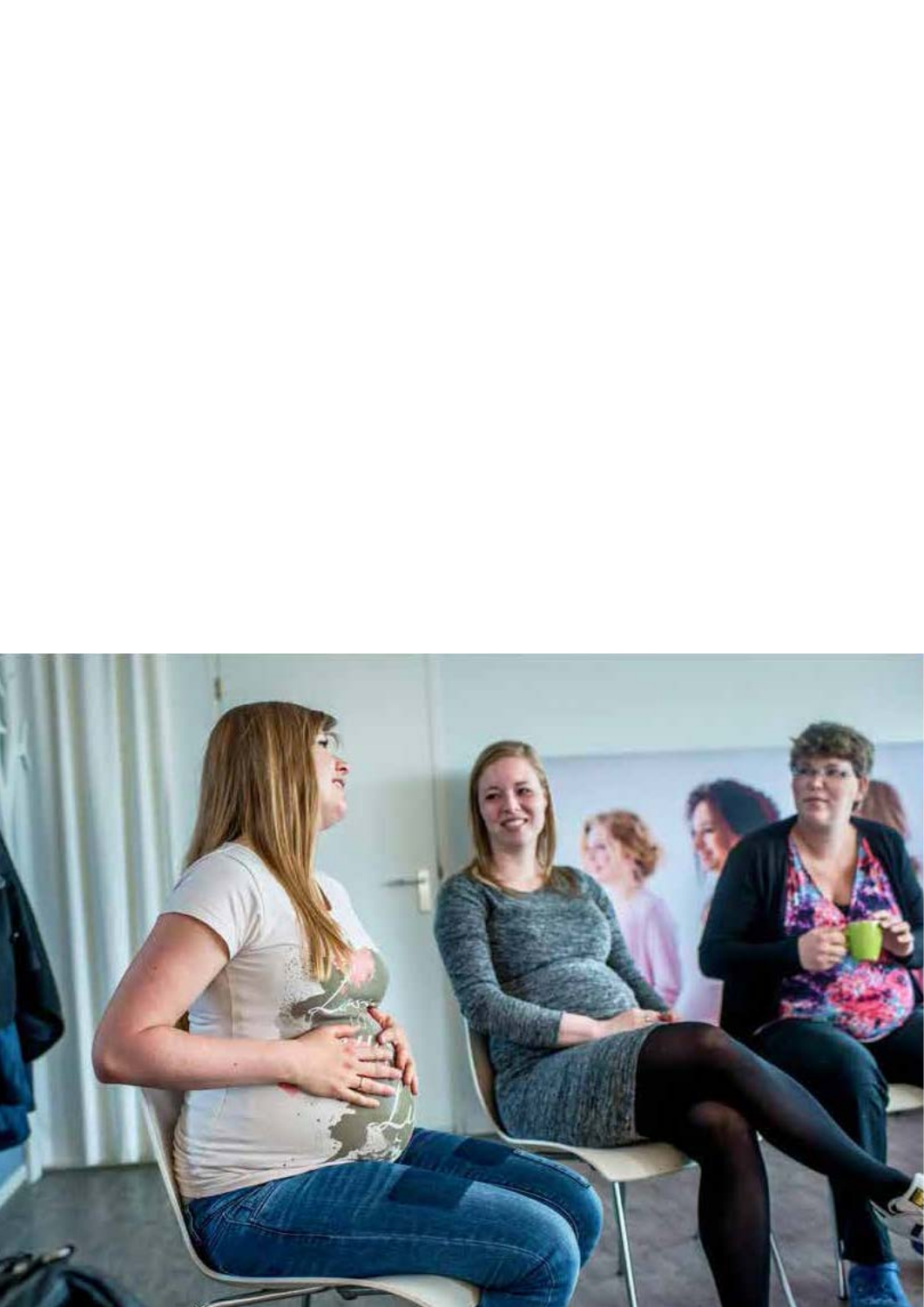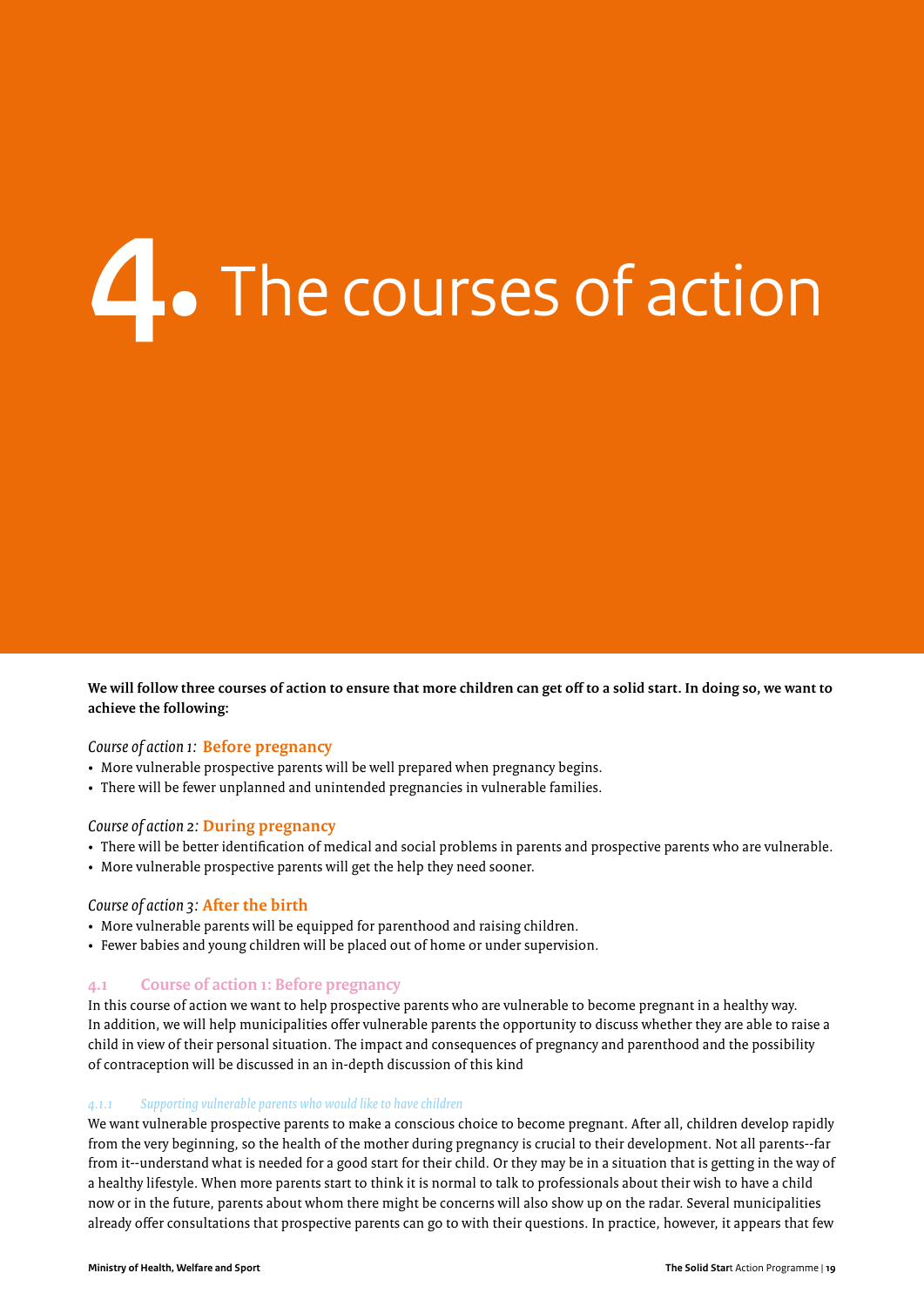## <span id="page-17-0"></span>**4.** The courses of action

**We will follow three courses of action to ensure that more children can get off to a solid start. In doing so, we want to achieve the following:**

#### *Course of action 1:* **Before pregnancy**

- More vulnerable prospective parents will be well prepared when pregnancy begins.
- There will be fewer unplanned and unintended pregnancies in vulnerable families.

#### *Course of action 2:* **During pregnancy**

- There will be better identification of medical and social problems in parents and prospective parents who are vulnerable.
- More vulnerable prospective parents will get the help they need sooner.

#### *Course of action 3:* **After the birth**

- More vulnerable parents will be equipped for parenthood and raising children.
- Fewer babies and young children will be placed out of home or under supervision.

#### **4.1 Course of action 1: Before pregnancy**

In this course of action we want to help prospective parents who are vulnerable to become pregnant in a healthy way. In addition, we will help municipalities offer vulnerable parents the opportunity to discuss whether they are able to raise a child in view of their personal situation. The impact and consequences of pregnancy and parenthood and the possibility of contraception will be discussed in an in-depth discussion of this kind

#### *4.1.1 Supporting vulnerable parents who would like to have children*

We want vulnerable prospective parents to make a conscious choice to become pregnant. After all, children develop rapidly from the very beginning, so the health of the mother during pregnancy is crucial to their development. Not all parents--far from it--understand what is needed for a good start for their child. Or they may be in a situation that is getting in the way of a healthy lifestyle. When more parents start to think it is normal to talk to professionals about their wish to have a child now or in the future, parents about whom there might be concerns will also show up on the radar. Several municipalities already offer consultations that prospective parents can go to with their questions. In practice, however, it appears that few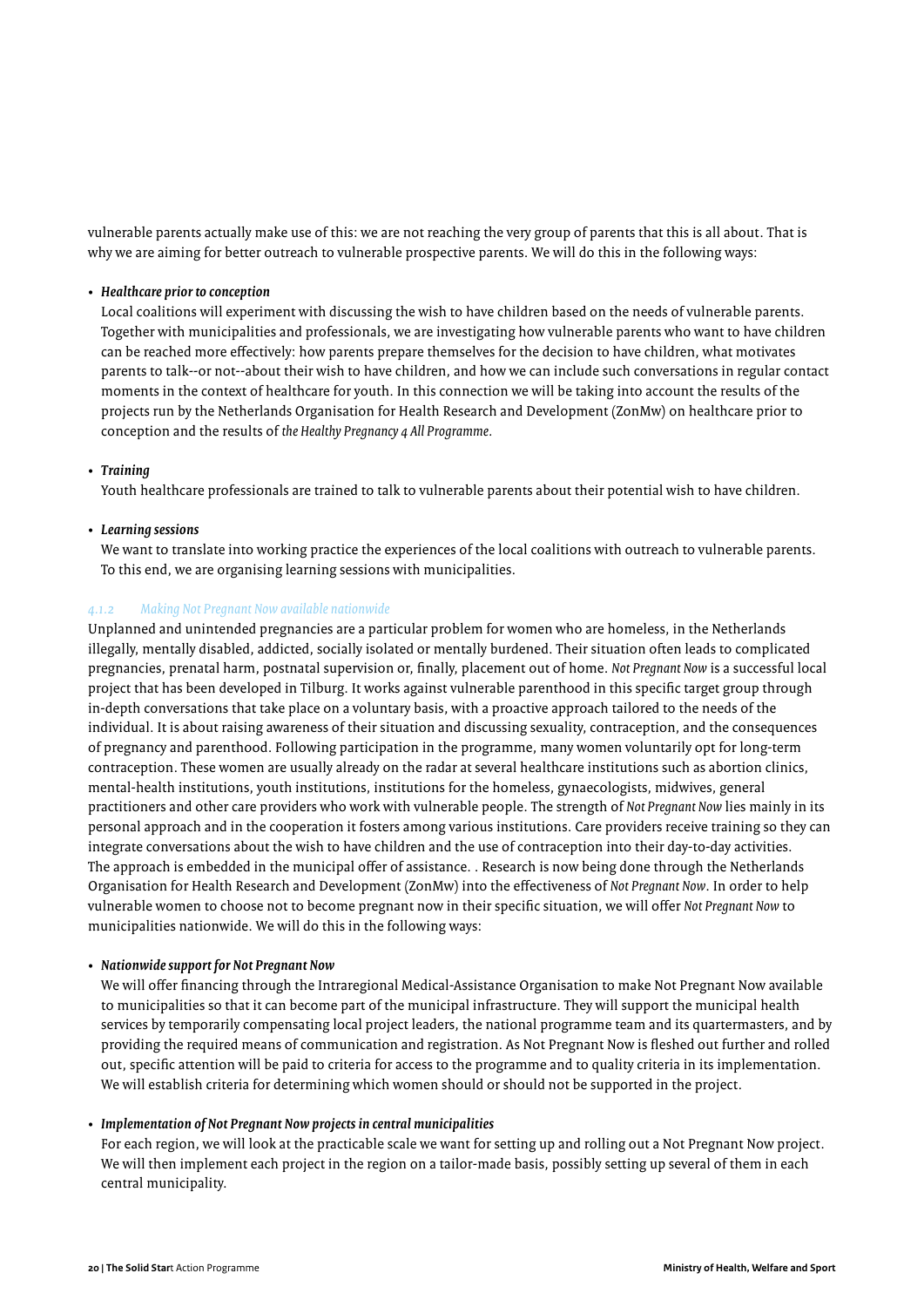<span id="page-18-0"></span>vulnerable parents actually make use of this: we are not reaching the very group of parents that this is all about. That is why we are aiming for better outreach to vulnerable prospective parents. We will do this in the following ways:

#### • *Healthcare prior to conception*

Local coalitions will experiment with discussing the wish to have children based on the needs of vulnerable parents. Together with municipalities and professionals, we are investigating how vulnerable parents who want to have children can be reached more effectively: how parents prepare themselves for the decision to have children, what motivates parents to talk--or not--about their wish to have children, and how we can include such conversations in regular contact moments in the context of healthcare for youth. In this connection we will be taking into account the results of the projects run by the Netherlands Organisation for Health Research and Development (ZonMw) on healthcare prior to conception and the results of *the Healthy Pregnancy 4 All Programme.*

#### • *Training*

Youth healthcare professionals are trained to talk to vulnerable parents about their potential wish to have children.

#### • *Learning sessions*

We want to translate into working practice the experiences of the local coalitions with outreach to vulnerable parents. To this end, we are organising learning sessions with municipalities.

#### *4.1.2 Making Not Pregnant Now available nationwide*

Unplanned and unintended pregnancies are a particular problem for women who are homeless, in the Netherlands illegally, mentally disabled, addicted, socially isolated or mentally burdened. Their situation often leads to complicated pregnancies, prenatal harm, postnatal supervision or, finally, placement out of home. *Not Pregnant Now* is a successful local project that has been developed in Tilburg. It works against vulnerable parenthood in this specific target group through in-depth conversations that take place on a voluntary basis, with a proactive approach tailored to the needs of the individual. It is about raising awareness of their situation and discussing sexuality, contraception, and the consequences of pregnancy and parenthood. Following participation in the programme, many women voluntarily opt for long-term contraception. These women are usually already on the radar at several healthcare institutions such as abortion clinics, mental-health institutions, youth institutions, institutions for the homeless, gynaecologists, midwives, general practitioners and other care providers who work with vulnerable people. The strength of *Not Pregnant Now* lies mainly in its personal approach and in the cooperation it fosters among various institutions. Care providers receive training so they can integrate conversations about the wish to have children and the use of contraception into their day-to-day activities. The approach is embedded in the municipal offer of assistance. . Research is now being done through the Netherlands Organisation for Health Research and Development (ZonMw) into the effectiveness of *Not Pregnant Now*. In order to help vulnerable women to choose not to become pregnant now in their specific situation, we will offer *Not Pregnant Now* to municipalities nationwide. We will do this in the following ways:

#### • *Nationwide support for Not Pregnant Now*

We will offer financing through the Intraregional Medical-Assistance Organisation to make Not Pregnant Now available to municipalities so that it can become part of the municipal infrastructure. They will support the municipal health services by temporarily compensating local project leaders, the national programme team and its quartermasters, and by providing the required means of communication and registration. As Not Pregnant Now is fleshed out further and rolled out, specific attention will be paid to criteria for access to the programme and to quality criteria in its implementation. We will establish criteria for determining which women should or should not be supported in the project.

#### • *Implementation of Not Pregnant Now projects in central municipalities*

For each region, we will look at the practicable scale we want for setting up and rolling out a Not Pregnant Now project. We will then implement each project in the region on a tailor-made basis, possibly setting up several of them in each central municipality.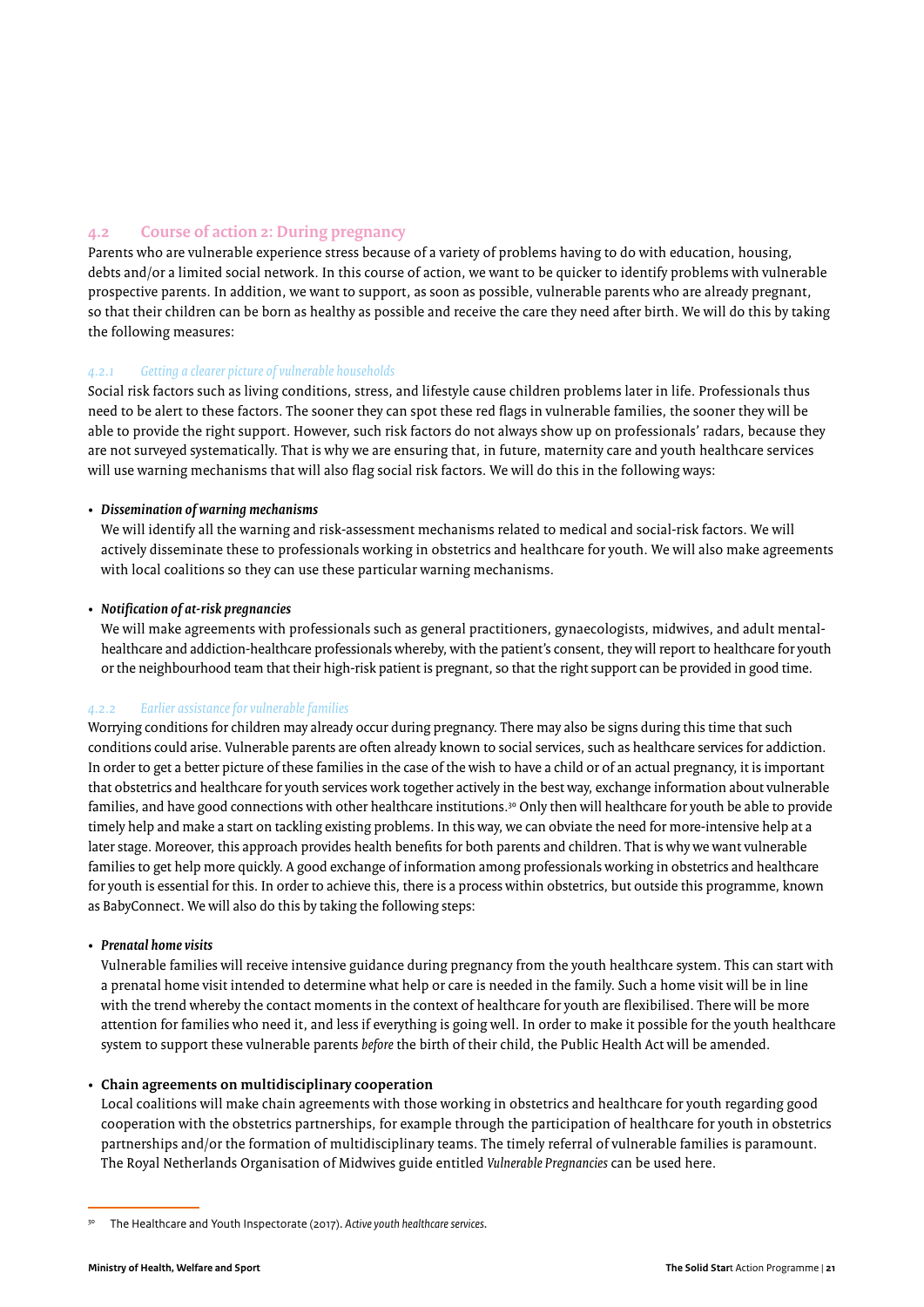#### <span id="page-19-0"></span>**4.2 Course of action 2: During pregnancy**

Parents who are vulnerable experience stress because of a variety of problems having to do with education, housing, debts and/or a limited social network. In this course of action, we want to be quicker to identify problems with vulnerable prospective parents. In addition, we want to support, as soon as possible, vulnerable parents who are already pregnant, so that their children can be born as healthy as possible and receive the care they need after birth. We will do this by taking the following measures:

#### *4.2.1 Getting a clearer picture of vulnerable households*

Social risk factors such as living conditions, stress, and lifestyle cause children problems later in life. Professionals thus need to be alert to these factors. The sooner they can spot these red flags in vulnerable families, the sooner they will be able to provide the right support. However, such risk factors do not always show up on professionals' radars, because they are not surveyed systematically. That is why we are ensuring that, in future, maternity care and youth healthcare services will use warning mechanisms that will also flag social risk factors. We will do this in the following ways:

#### • *Dissemination of warning mechanisms*

We will identify all the warning and risk-assessment mechanisms related to medical and social-risk factors. We will actively disseminate these to professionals working in obstetrics and healthcare for youth. We will also make agreements with local coalitions so they can use these particular warning mechanisms.

#### • *Notification of at-risk pregnancies*

We will make agreements with professionals such as general practitioners, gynaecologists, midwives, and adult mentalhealthcare and addiction-healthcare professionals whereby, with the patient's consent, they will report to healthcare for youth or the neighbourhood team that their high-risk patient is pregnant, so that the right support can be provided in good time.

#### *4.2.2 Earlier assistance for vulnerable families*

Worrying conditions for children may already occur during pregnancy. There may also be signs during this time that such conditions could arise. Vulnerable parents are often already known to social services, such as healthcare services for addiction. In order to get a better picture of these families in the case of the wish to have a child or of an actual pregnancy, it is important that obstetrics and healthcare for youth services work together actively in the best way, exchange information about vulnerable families, and have good connections with other healthcare institutions.<sup>30</sup> Only then will healthcare for youth be able to provide timely help and make a start on tackling existing problems. In this way, we can obviate the need for more-intensive help at a later stage. Moreover, this approach provides health benefits for both parents and children. That is why we want vulnerable families to get help more quickly. A good exchange of information among professionals working in obstetrics and healthcare for youth is essential for this. In order to achieve this, there is a process within obstetrics, but outside this programme, known as BabyConnect. We will also do this by taking the following steps:

#### • *Prenatal home visits*

Vulnerable families will receive intensive guidance during pregnancy from the youth healthcare system. This can start with a prenatal home visit intended to determine what help or care is needed in the family. Such a home visit will be in line with the trend whereby the contact moments in the context of healthcare for youth are flexibilised. There will be more attention for families who need it, and less if everything is going well. In order to make it possible for the youth healthcare system to support these vulnerable parents *before* the birth of their child, the Public Health Act will be amended.

#### • **Chain agreements on multidisciplinary cooperation**

Local coalitions will make chain agreements with those working in obstetrics and healthcare for youth regarding good cooperation with the obstetrics partnerships, for example through the participation of healthcare for youth in obstetrics partnerships and/or the formation of multidisciplinary teams. The timely referral of vulnerable families is paramount. The Royal Netherlands Organisation of Midwives guide entitled *Vulnerable Pregnancies* can be used here.

<sup>30</sup> The Healthcare and Youth Inspectorate (2017). *Active youth healthcare services*.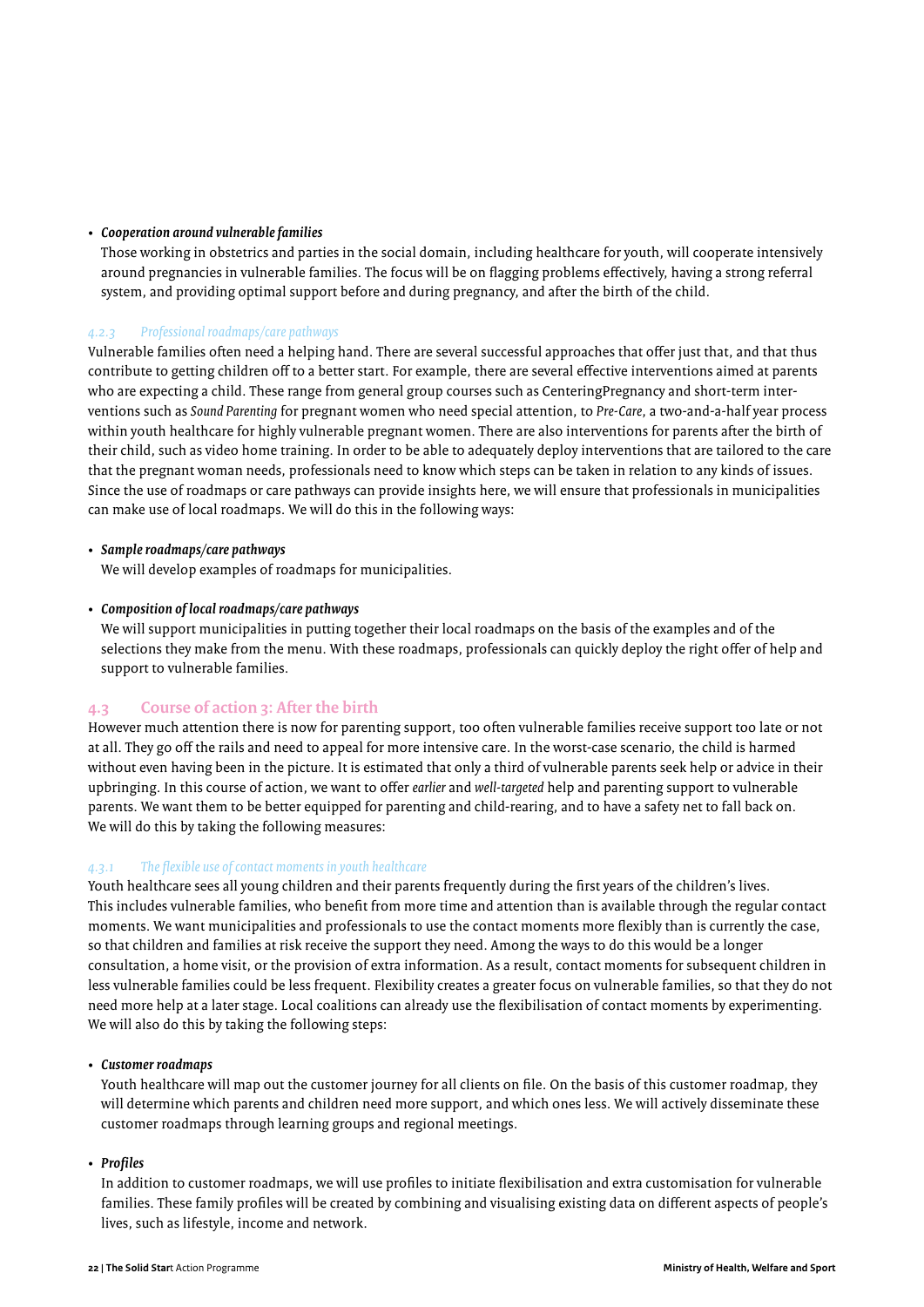#### <span id="page-20-0"></span>• *Cooperation around vulnerable families*

Those working in obstetrics and parties in the social domain, including healthcare for youth, will cooperate intensively around pregnancies in vulnerable families. The focus will be on flagging problems effectively, having a strong referral system, and providing optimal support before and during pregnancy, and after the birth of the child.

#### *4.2.3 Professional roadmaps/care pathways*

Vulnerable families often need a helping hand. There are several successful approaches that offer just that, and that thus contribute to getting children off to a better start. For example, there are several effective interventions aimed at parents who are expecting a child. These range from general group courses such as CenteringPregnancy and short-term interventions such as *Sound Parenting* for pregnant women who need special attention, to *Pre-Care*, a two-and-a-half year process within youth healthcare for highly vulnerable pregnant women. There are also interventions for parents after the birth of their child, such as video home training. In order to be able to adequately deploy interventions that are tailored to the care that the pregnant woman needs, professionals need to know which steps can be taken in relation to any kinds of issues. Since the use of roadmaps or care pathways can provide insights here, we will ensure that professionals in municipalities can make use of local roadmaps. We will do this in the following ways:

#### • *Sample roadmaps/care pathways*

We will develop examples of roadmaps for municipalities.

#### • *Composition of local roadmaps/care pathways*

We will support municipalities in putting together their local roadmaps on the basis of the examples and of the selections they make from the menu. With these roadmaps, professionals can quickly deploy the right offer of help and support to vulnerable families.

#### **4.3 Course of action 3: After the birth**

However much attention there is now for parenting support, too often vulnerable families receive support too late or not at all. They go off the rails and need to appeal for more intensive care. In the worst-case scenario, the child is harmed without even having been in the picture. It is estimated that only a third of vulnerable parents seek help or advice in their upbringing. In this course of action, we want to offer *earlier* and *well-targeted* help and parenting support to vulnerable parents. We want them to be better equipped for parenting and child-rearing, and to have a safety net to fall back on. We will do this by taking the following measures:

#### *4.3.1 The flexible use of contact moments in youth healthcare*

Youth healthcare sees all young children and their parents frequently during the first years of the children's lives. This includes vulnerable families, who benefit from more time and attention than is available through the regular contact moments. We want municipalities and professionals to use the contact moments more flexibly than is currently the case, so that children and families at risk receive the support they need. Among the ways to do this would be a longer consultation, a home visit, or the provision of extra information. As a result, contact moments for subsequent children in less vulnerable families could be less frequent. Flexibility creates a greater focus on vulnerable families, so that they do not need more help at a later stage. Local coalitions can already use the flexibilisation of contact moments by experimenting. We will also do this by taking the following steps:

#### • *Customer roadmaps*

Youth healthcare will map out the customer journey for all clients on file. On the basis of this customer roadmap, they will determine which parents and children need more support, and which ones less. We will actively disseminate these customer roadmaps through learning groups and regional meetings.

#### • *Profiles*

In addition to customer roadmaps, we will use profiles to initiate flexibilisation and extra customisation for vulnerable families. These family profiles will be created by combining and visualising existing data on different aspects of people's lives, such as lifestyle, income and network.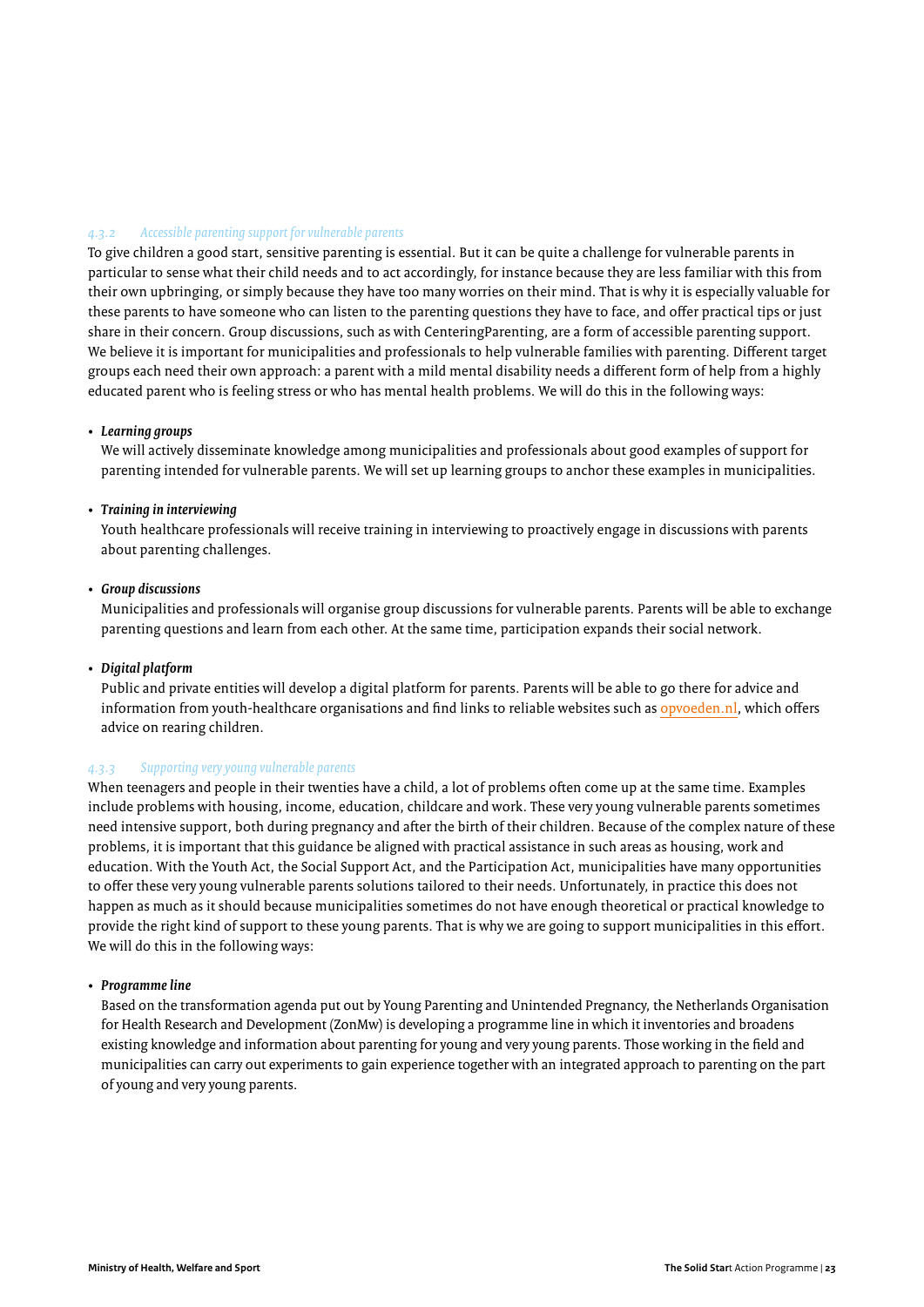#### <span id="page-21-0"></span>*4.3.2 Accessible parenting support for vulnerable parents*

To give children a good start, sensitive parenting is essential. But it can be quite a challenge for vulnerable parents in particular to sense what their child needs and to act accordingly, for instance because they are less familiar with this from their own upbringing, or simply because they have too many worries on their mind. That is why it is especially valuable for these parents to have someone who can listen to the parenting questions they have to face, and offer practical tips or just share in their concern. Group discussions, such as with CenteringParenting, are a form of accessible parenting support. We believe it is important for municipalities and professionals to help vulnerable families with parenting. Different target groups each need their own approach: a parent with a mild mental disability needs a different form of help from a highly educated parent who is feeling stress or who has mental health problems. We will do this in the following ways:

#### • *Learning groups*

We will actively disseminate knowledge among municipalities and professionals about good examples of support for parenting intended for vulnerable parents. We will set up learning groups to anchor these examples in municipalities.

#### • *Training in interviewing*

Youth healthcare professionals will receive training in interviewing to proactively engage in discussions with parents about parenting challenges.

#### • *Group discussions*

Municipalities and professionals will organise group discussions for vulnerable parents. Parents will be able to exchange parenting questions and learn from each other. At the same time, participation expands their social network.

#### • *Digital platform*

Public and private entities will develop a digital platform for parents. Parents will be able to go there for advice and information from youth-healthcare organisations and find links to reliable websites such as [opvoeden.nl](https://www.opvoeden.nl/), which offers advice on rearing children.

#### *4.3.3 Supporting very young vulnerable parents*

When teenagers and people in their twenties have a child, a lot of problems often come up at the same time. Examples include problems with housing, income, education, childcare and work. These very young vulnerable parents sometimes need intensive support, both during pregnancy and after the birth of their children. Because of the complex nature of these problems, it is important that this guidance be aligned with practical assistance in such areas as housing, work and education. With the Youth Act, the Social Support Act, and the Participation Act, municipalities have many opportunities to offer these very young vulnerable parents solutions tailored to their needs. Unfortunately, in practice this does not happen as much as it should because municipalities sometimes do not have enough theoretical or practical knowledge to provide the right kind of support to these young parents. That is why we are going to support municipalities in this effort. We will do this in the following ways:

#### • *Programme line*

Based on the transformation agenda put out by Young Parenting and Unintended Pregnancy, the Netherlands Organisation for Health Research and Development (ZonMw) is developing a programme line in which it inventories and broadens existing knowledge and information about parenting for young and very young parents. Those working in the field and municipalities can carry out experiments to gain experience together with an integrated approach to parenting on the part of young and very young parents.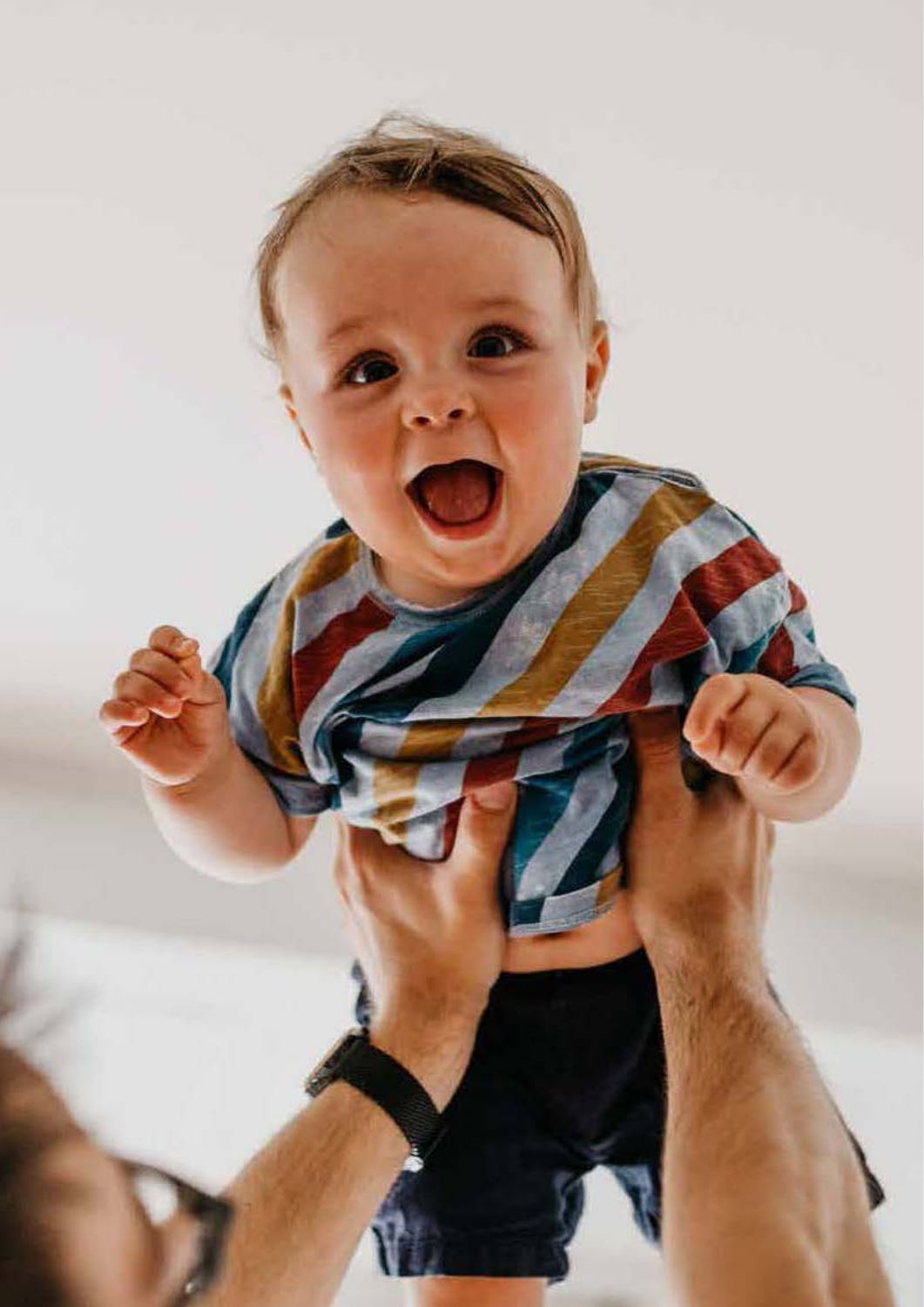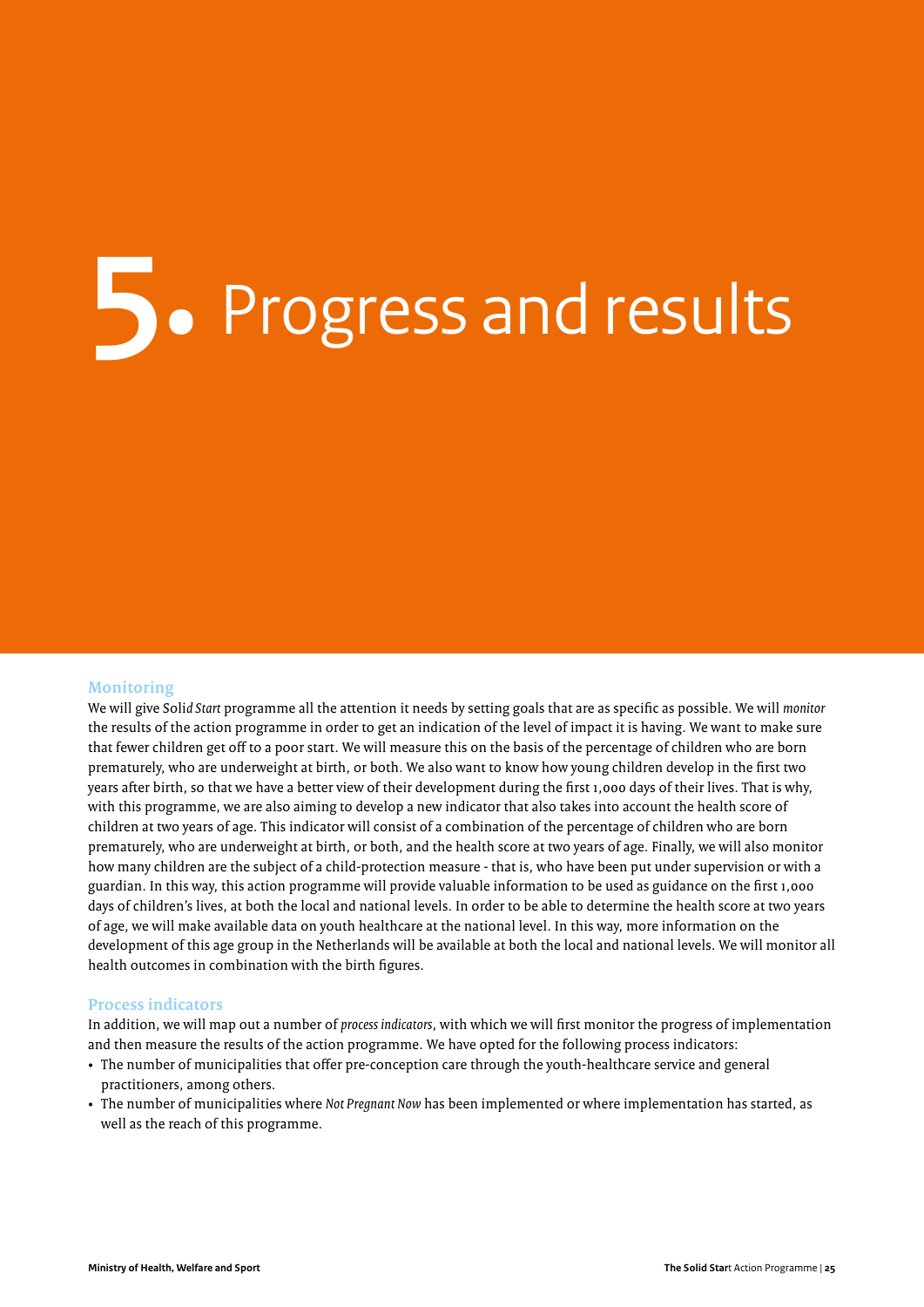## <span id="page-23-0"></span>**5.** Progress and results

#### **Monitoring**

We will give Soli*d Start* programme all the attention it needs by setting goals that are as specific as possible. We will *monitor* the results of the action programme in order to get an indication of the level of impact it is having. We want to make sure that fewer children get off to a poor start. We will measure this on the basis of the percentage of children who are born prematurely, who are underweight at birth, or both. We also want to know how young children develop in the first two years after birth, so that we have a better view of their development during the first 1,000 days of their lives. That is why, with this programme, we are also aiming to develop a new indicator that also takes into account the health score of children at two years of age. This indicator will consist of a combination of the percentage of children who are born prematurely, who are underweight at birth, or both, and the health score at two years of age. Finally, we will also monitor how many children are the subject of a child-protection measure - that is, who have been put under supervision or with a guardian. In this way, this action programme will provide valuable information to be used as guidance on the first 1,000 days of children's lives, at both the local and national levels. In order to be able to determine the health score at two years of age, we will make available data on youth healthcare at the national level. In this way, more information on the development of this age group in the Netherlands will be available at both the local and national levels. We will monitor all health outcomes in combination with the birth figures.

#### **Process indicators**

In addition, we will map out a number of *process indicators*, with which we will first monitor the progress of implementation and then measure the results of the action programme. We have opted for the following process indicators:

- The number of municipalities that offer pre-conception care through the youth-healthcare service and general practitioners, among others.
- The number of municipalities where *Not Pregnant Now* has been implemented or where implementation has started, as well as the reach of this programme.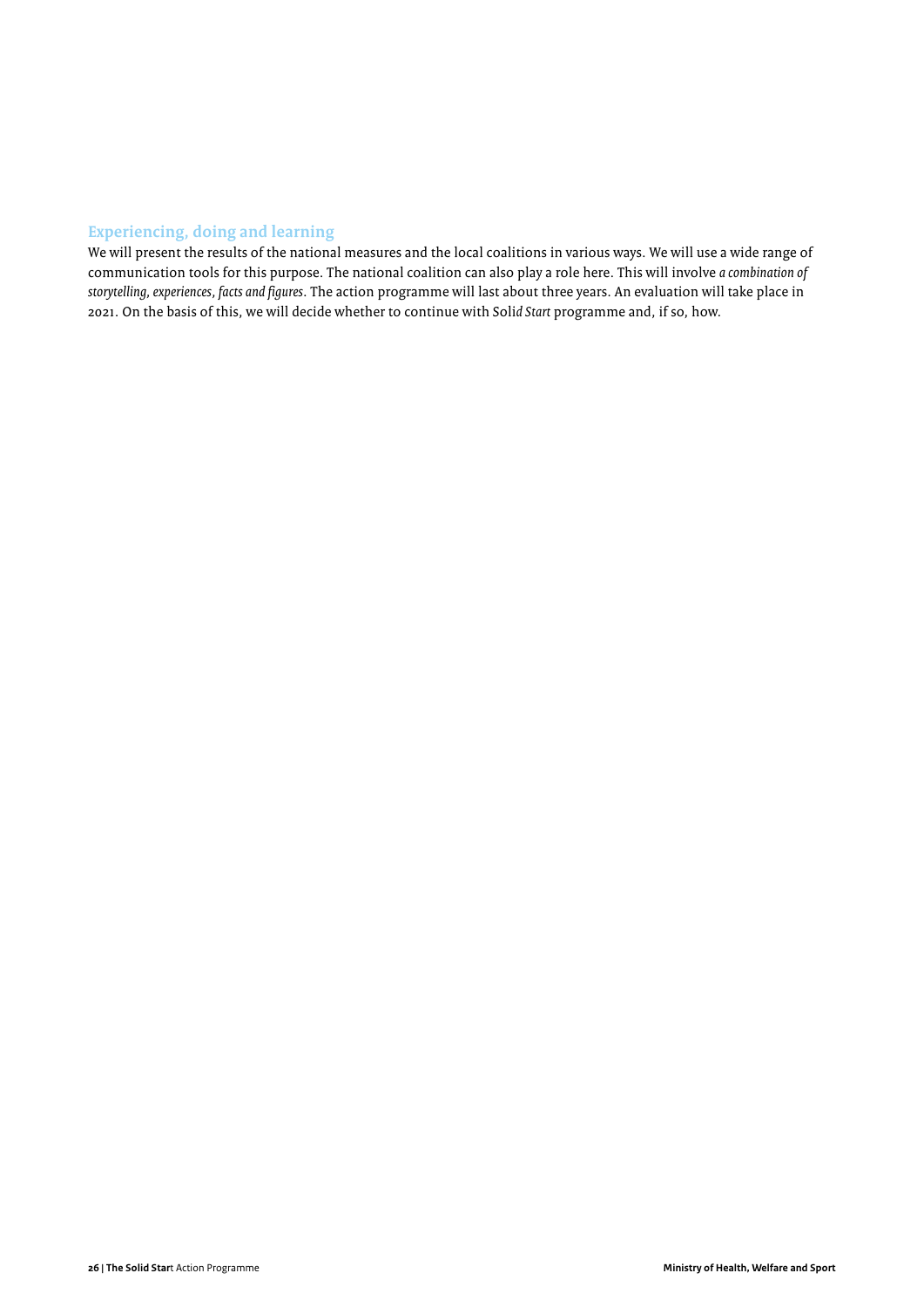#### **Experiencing, doing and learning**

We will present the results of the national measures and the local coalitions in various ways. We will use a wide range of communication tools for this purpose. The national coalition can also play a role here. This will involve *a combination of storytelling, experiences, facts and figures*. The action programme will last about three years. An evaluation will take place in 2021. On the basis of this, we will decide whether to continue with Soli*d Start* programme and, if so, how.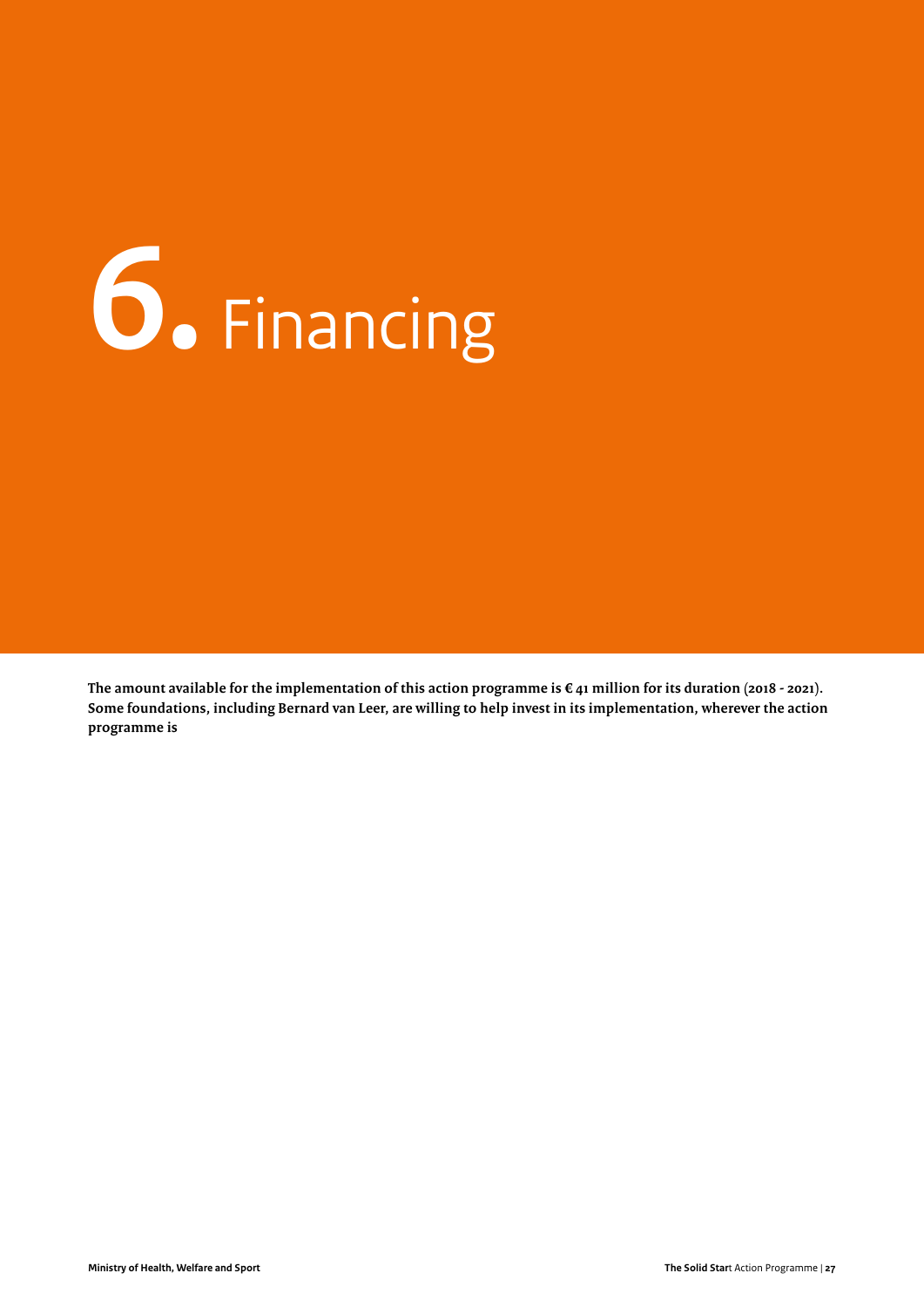# <span id="page-25-0"></span>**6.** Financing

**The amount available for the implementation of this action programme is € 41 million for its duration (2018 - 2021). Some foundations, including Bernard van Leer, are willing to help invest in its implementation, wherever the action programme is**